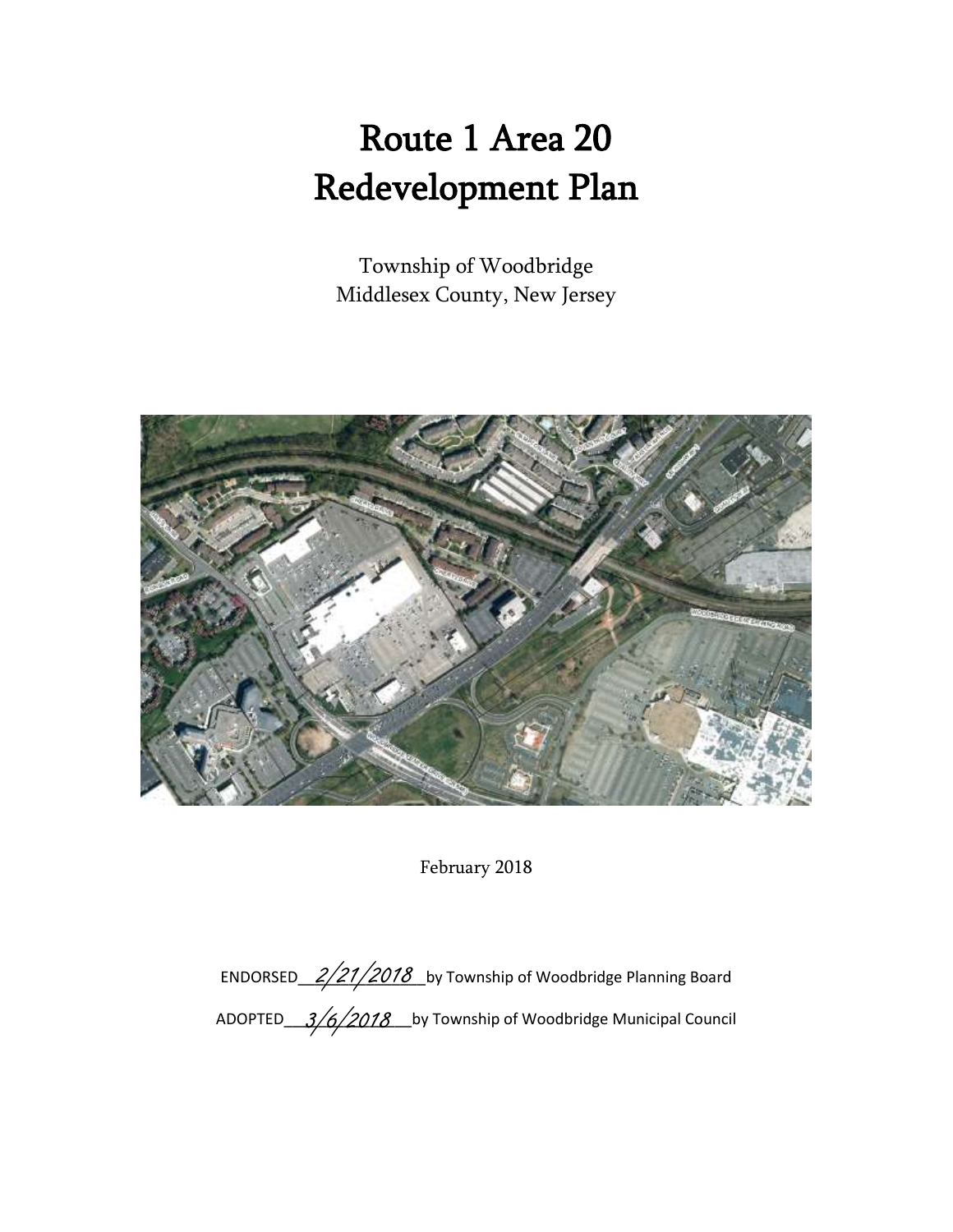# Route 1 Area 20 Redevelopment Plan

Township of Woodbridge Middlesex County, New Jersey



February 2018

ENDORSED\_2/21/2018 Loy Township of Woodbridge Planning Board ADOPTED\_\_\_\_3/6/2018\_\_\_\_by Township of Woodbridge Municipal Council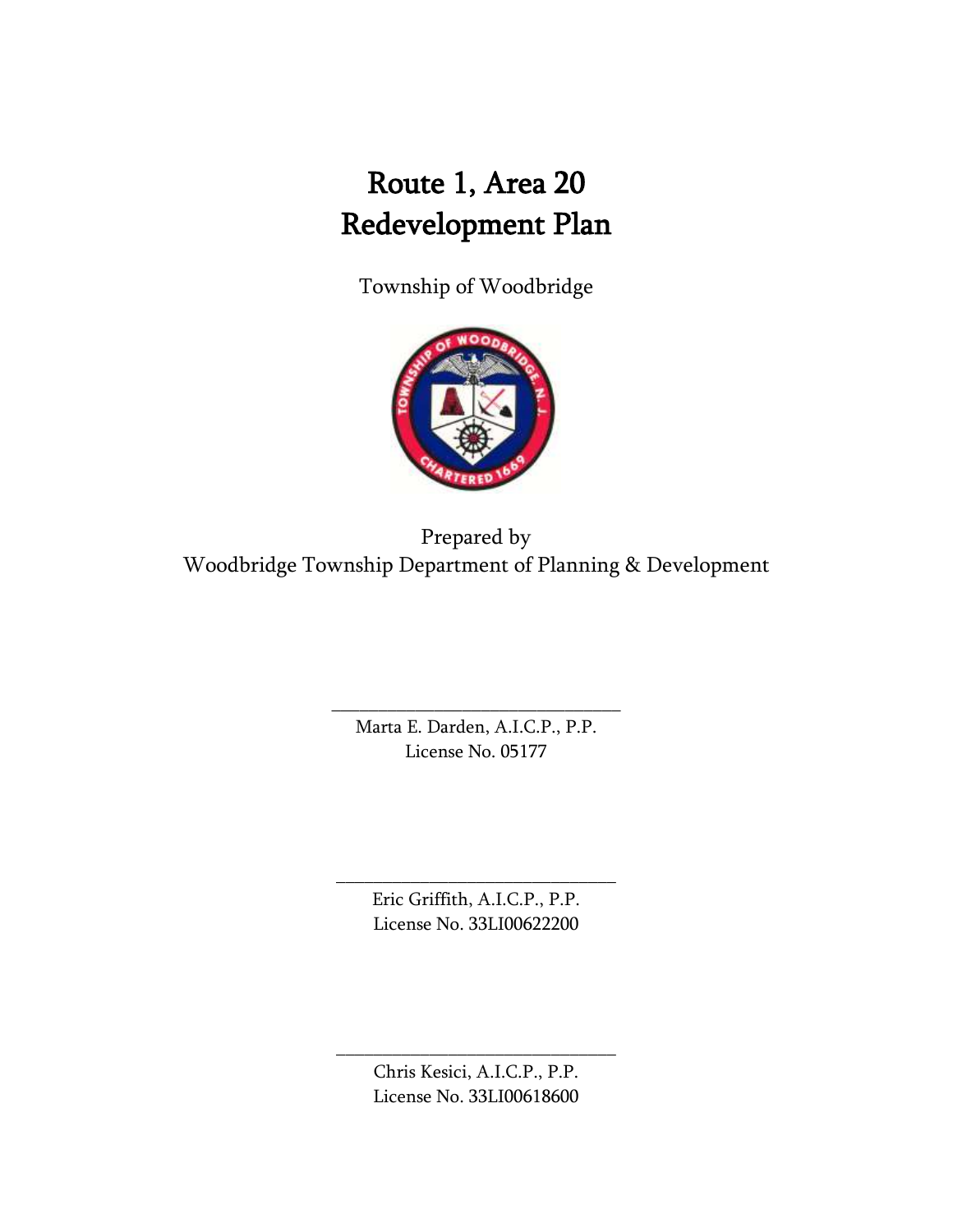## Route 1, Area 20 Redevelopment Plan

Township of Woodbridge



Prepared by Woodbridge Township Department of Planning & Development

> Marta E. Darden, A.I.C.P., P.P. License No. 05177

\_\_\_\_\_\_\_\_\_\_\_\_\_\_\_\_\_\_\_\_\_\_\_\_\_\_\_\_\_\_\_

\_\_\_\_\_\_\_\_\_\_\_\_\_\_\_\_\_\_\_\_\_\_\_\_\_\_\_\_\_\_ Eric Griffith, A.I.C.P., P.P. License No. 33LI00622200

> Chris Kesici, A.I.C.P., P.P. License No. 33LI00618600

\_\_\_\_\_\_\_\_\_\_\_\_\_\_\_\_\_\_\_\_\_\_\_\_\_\_\_\_\_\_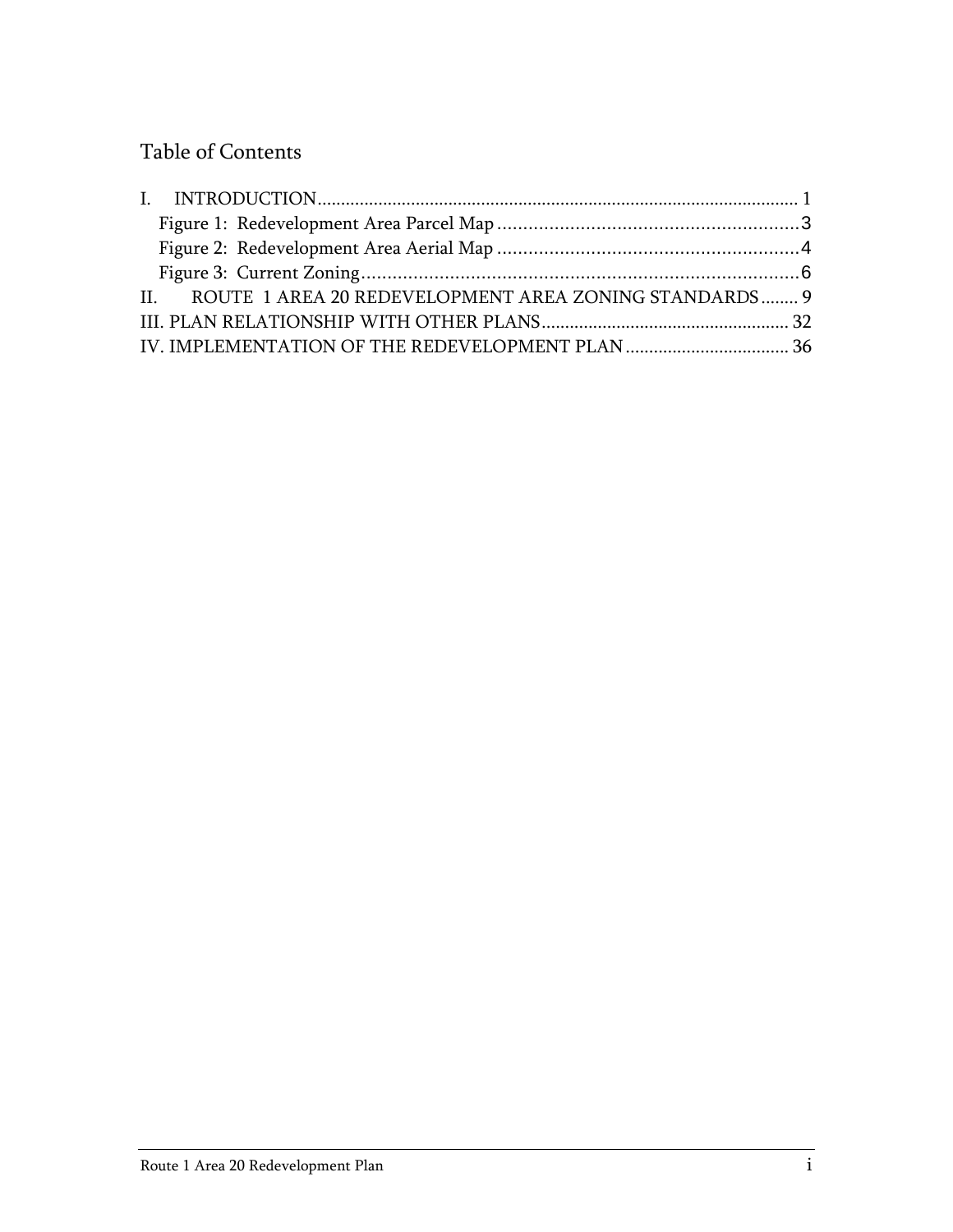## Table of Contents

| II. ROUTE 1 AREA 20 REDEVELOPMENT AREA ZONING STANDARDS 9 |  |
|-----------------------------------------------------------|--|
|                                                           |  |
|                                                           |  |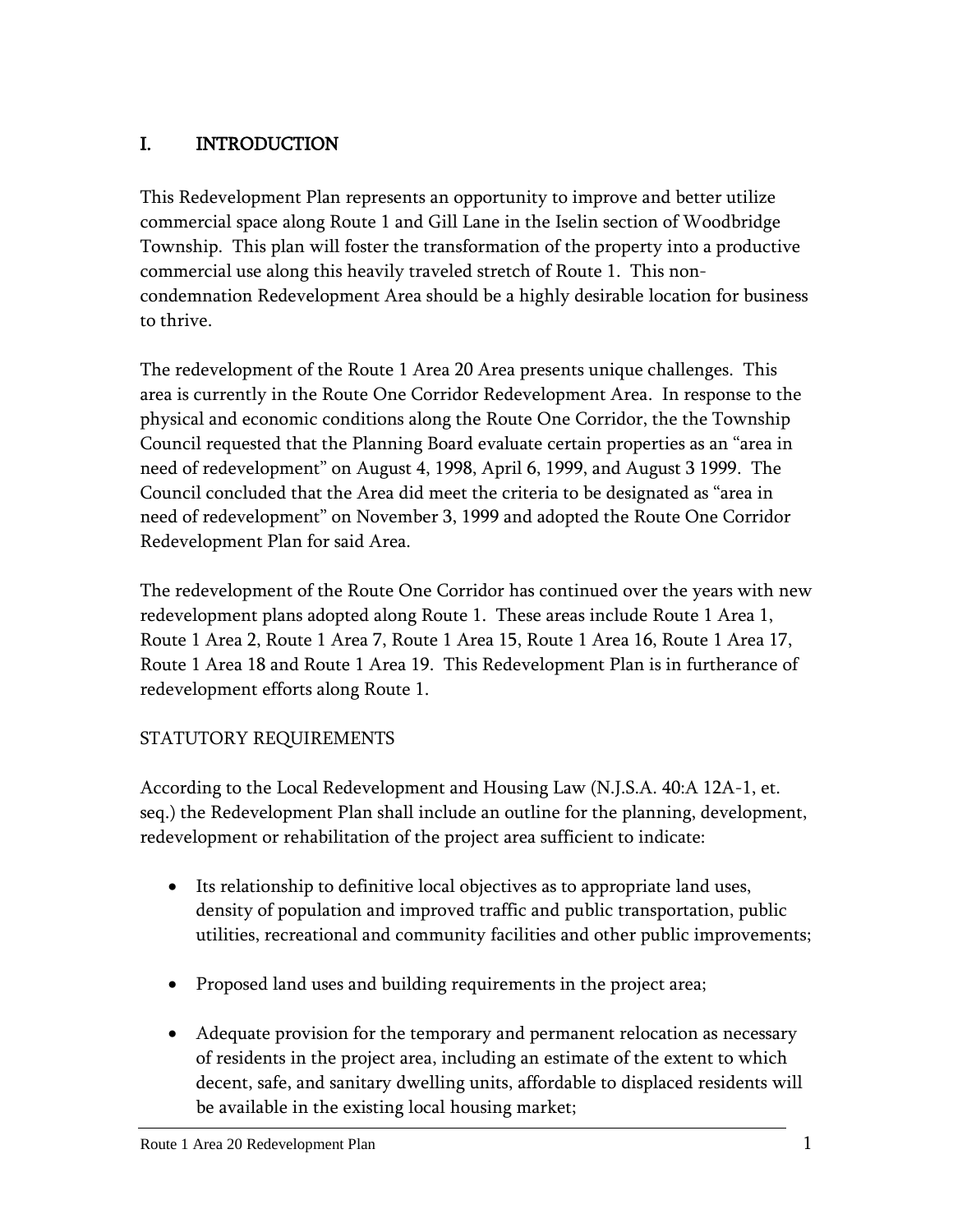## <span id="page-3-0"></span>I. INTRODUCTION

This Redevelopment Plan represents an opportunity to improve and better utilize commercial space along Route 1 and Gill Lane in the Iselin section of Woodbridge Township. This plan will foster the transformation of the property into a productive commercial use along this heavily traveled stretch of Route 1. This noncondemnation Redevelopment Area should be a highly desirable location for business to thrive.

The redevelopment of the Route 1 Area 20 Area presents unique challenges. This area is currently in the Route One Corridor Redevelopment Area. In response to the physical and economic conditions along the Route One Corridor, the the Township Council requested that the Planning Board evaluate certain properties as an "area in need of redevelopment" on August 4, 1998, April 6, 1999, and August 3 1999. The Council concluded that the Area did meet the criteria to be designated as "area in need of redevelopment" on November 3, 1999 and adopted the Route One Corridor Redevelopment Plan for said Area.

The redevelopment of the Route One Corridor has continued over the years with new redevelopment plans adopted along Route 1. These areas include Route 1 Area 1, Route 1 Area 2, Route 1 Area 7, Route 1 Area 15, Route 1 Area 16, Route 1 Area 17, Route 1 Area 18 and Route 1 Area 19. This Redevelopment Plan is in furtherance of redevelopment efforts along Route 1.

## STATUTORY REQUIREMENTS

According to the Local Redevelopment and Housing Law (N.J.S.A. 40:A 12A-1, et. seq.) the Redevelopment Plan shall include an outline for the planning, development, redevelopment or rehabilitation of the project area sufficient to indicate:

- Its relationship to definitive local objectives as to appropriate land uses, density of population and improved traffic and public transportation, public utilities, recreational and community facilities and other public improvements;
- Proposed land uses and building requirements in the project area;
- Adequate provision for the temporary and permanent relocation as necessary of residents in the project area, including an estimate of the extent to which decent, safe, and sanitary dwelling units, affordable to displaced residents will be available in the existing local housing market;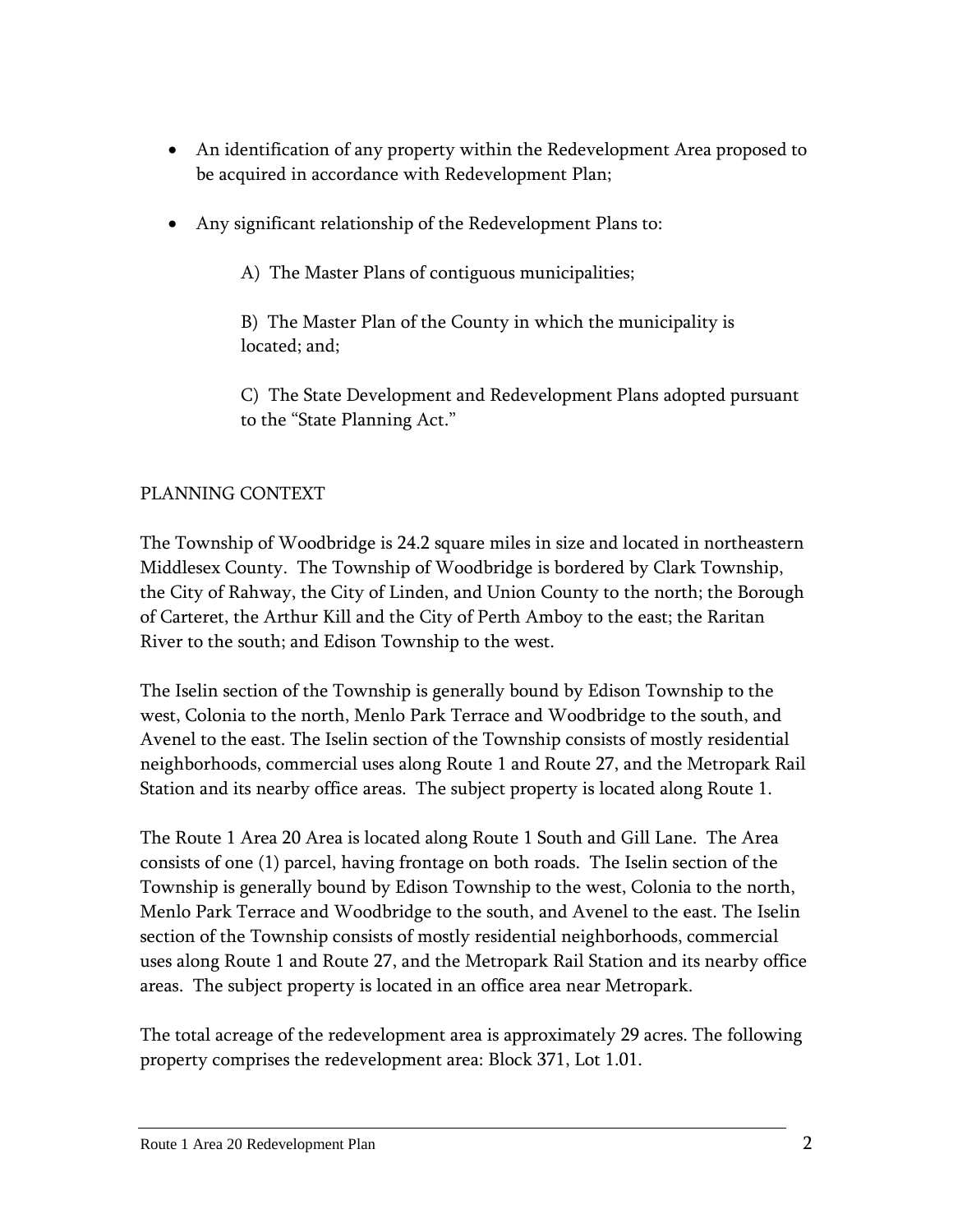- An identification of any property within the Redevelopment Area proposed to be acquired in accordance with Redevelopment Plan;
- Any significant relationship of the Redevelopment Plans to:

A) The Master Plans of contiguous municipalities;

B) The Master Plan of the County in which the municipality is located; and;

C) The State Development and Redevelopment Plans adopted pursuant to the "State Planning Act."

## PLANNING CONTEXT

The Township of Woodbridge is 24.2 square miles in size and located in northeastern Middlesex County. The Township of Woodbridge is bordered by Clark Township, the City of Rahway, the City of Linden, and Union County to the north; the Borough of Carteret, the Arthur Kill and the City of Perth Amboy to the east; the Raritan River to the south; and Edison Township to the west.

The Iselin section of the Township is generally bound by Edison Township to the west, Colonia to the north, Menlo Park Terrace and Woodbridge to the south, and Avenel to the east. The Iselin section of the Township consists of mostly residential neighborhoods, commercial uses along Route 1 and Route 27, and the Metropark Rail Station and its nearby office areas. The subject property is located along Route 1.

The Route 1 Area 20 Area is located along Route 1 South and Gill Lane. The Area consists of one (1) parcel, having frontage on both roads. The Iselin section of the Township is generally bound by Edison Township to the west, Colonia to the north, Menlo Park Terrace and Woodbridge to the south, and Avenel to the east. The Iselin section of the Township consists of mostly residential neighborhoods, commercial uses along Route 1 and Route 27, and the Metropark Rail Station and its nearby office areas. The subject property is located in an office area near Metropark.

The total acreage of the redevelopment area is approximately 29 acres. The following property comprises the redevelopment area: Block 371, Lot 1.01.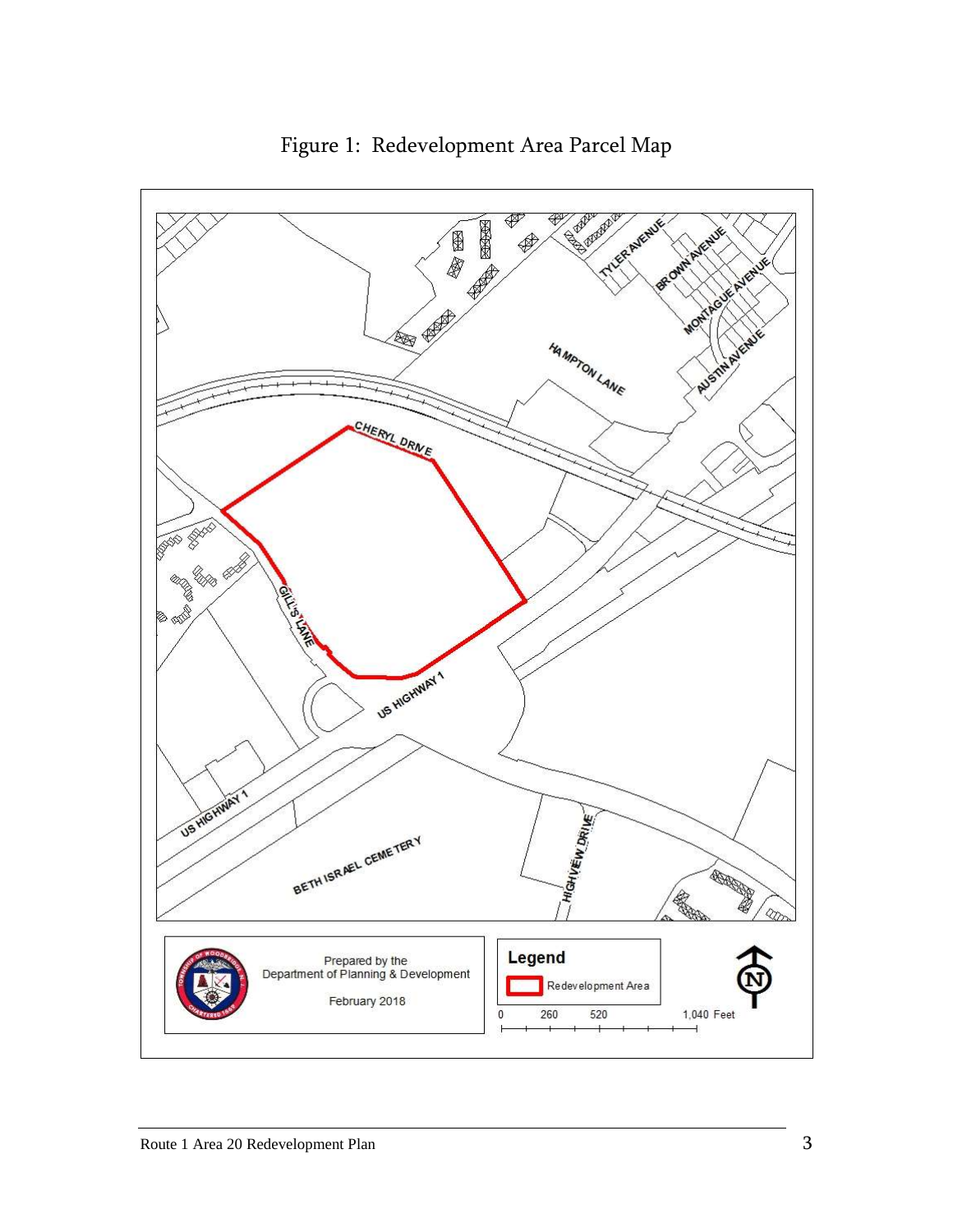<span id="page-5-0"></span>

Figure 1: Redevelopment Area Parcel Map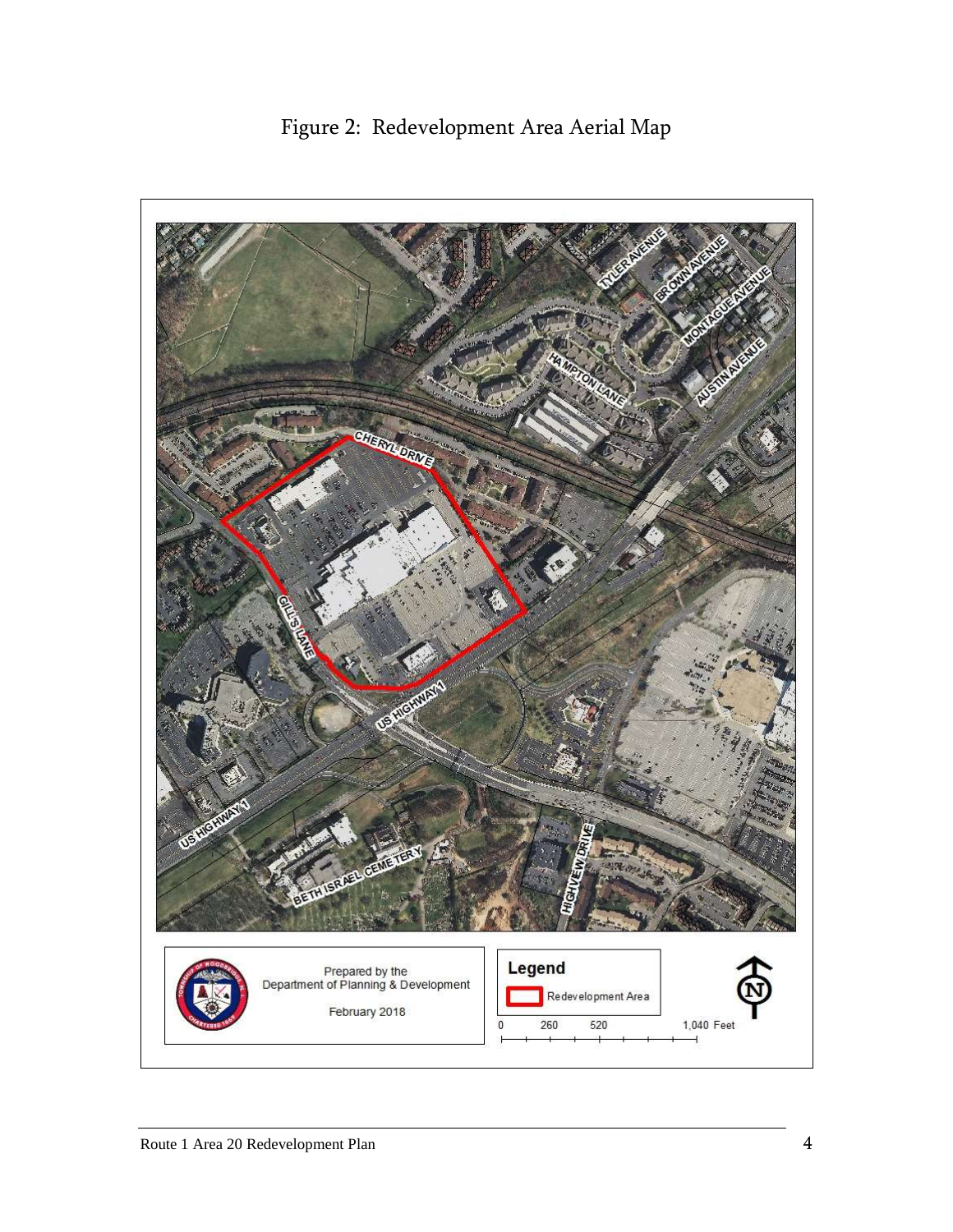

<span id="page-6-0"></span>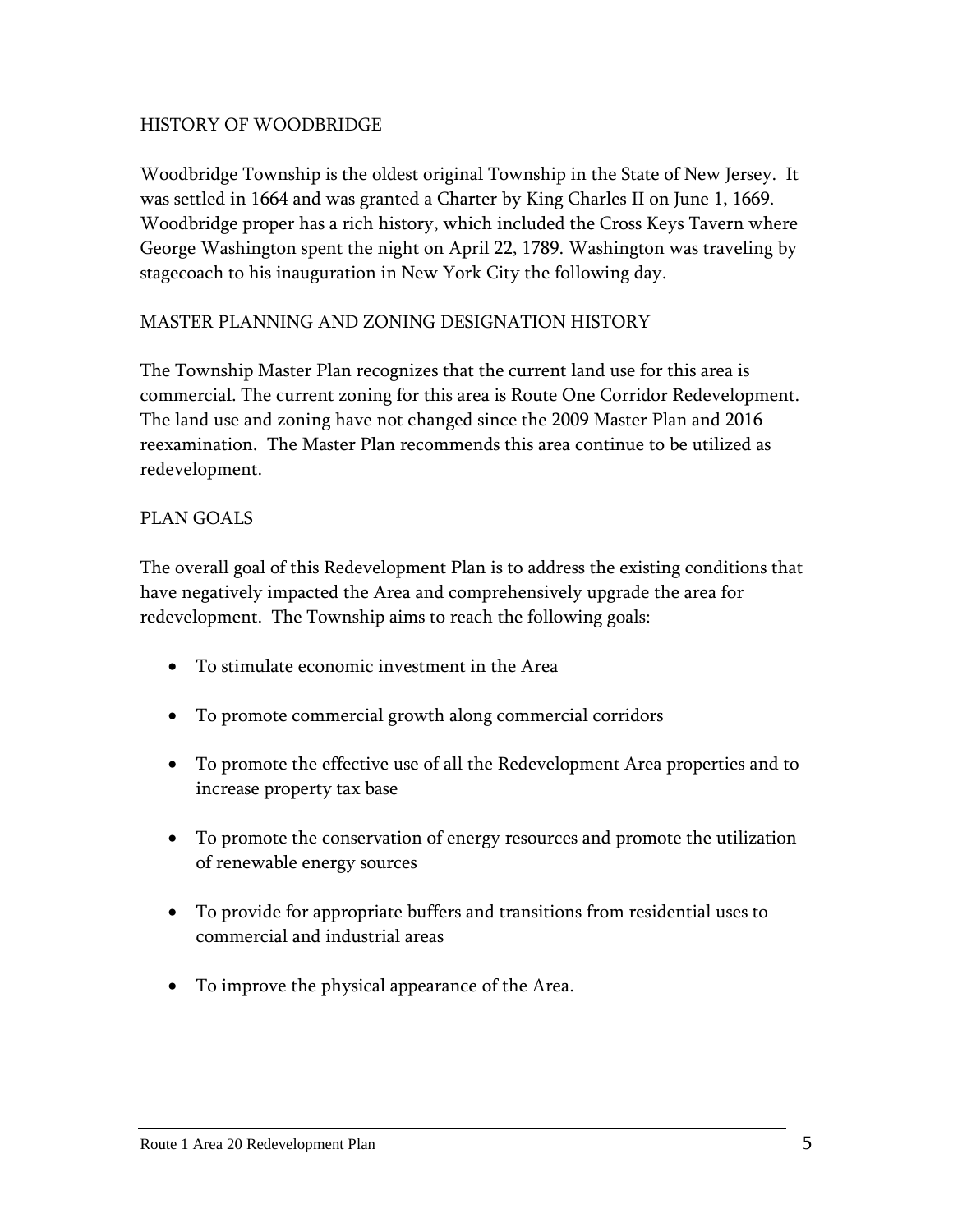## HISTORY OF WOODBRIDGE

Woodbridge Township is the oldest original Township in the State of New Jersey. It was settled in 1664 and was granted a Charter by King Charles II on June 1, 1669. Woodbridge proper has a rich history, which included the Cross Keys Tavern where George Washington spent the night on April 22, 1789. Washington was traveling by stagecoach to his inauguration in New York City the following day.

#### MASTER PLANNING AND ZONING DESIGNATION HISTORY

The Township Master Plan recognizes that the current land use for this area is commercial. The current zoning for this area is Route One Corridor Redevelopment. The land use and zoning have not changed since the 2009 Master Plan and 2016 reexamination. The Master Plan recommends this area continue to be utilized as redevelopment.

#### PLAN GOALS

The overall goal of this Redevelopment Plan is to address the existing conditions that have negatively impacted the Area and comprehensively upgrade the area for redevelopment. The Township aims to reach the following goals:

- To stimulate economic investment in the Area
- To promote commercial growth along commercial corridors
- To promote the effective use of all the Redevelopment Area properties and to increase property tax base
- To promote the conservation of energy resources and promote the utilization of renewable energy sources
- To provide for appropriate buffers and transitions from residential uses to commercial and industrial areas
- To improve the physical appearance of the Area.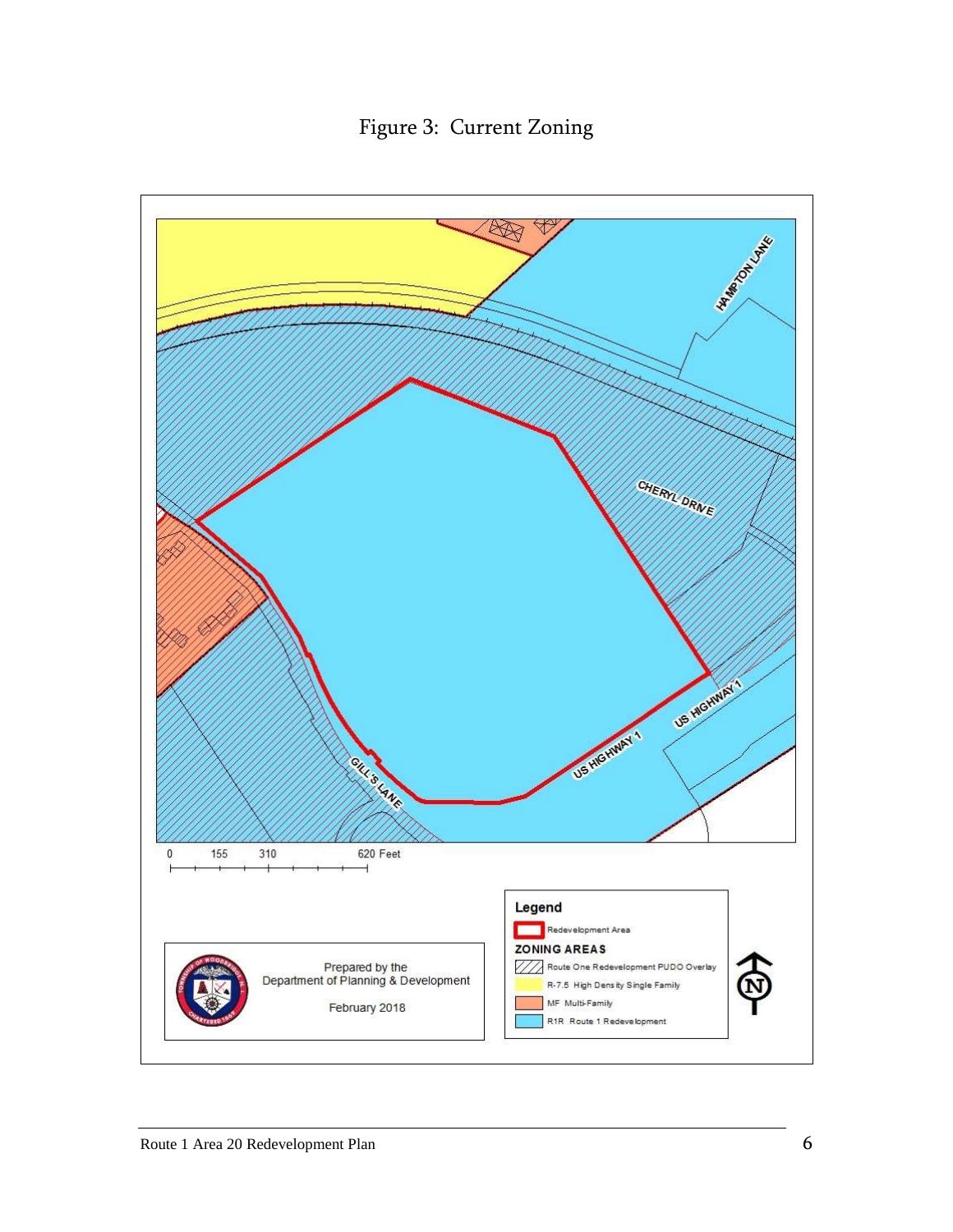Figure 3: Current Zoning

<span id="page-8-0"></span>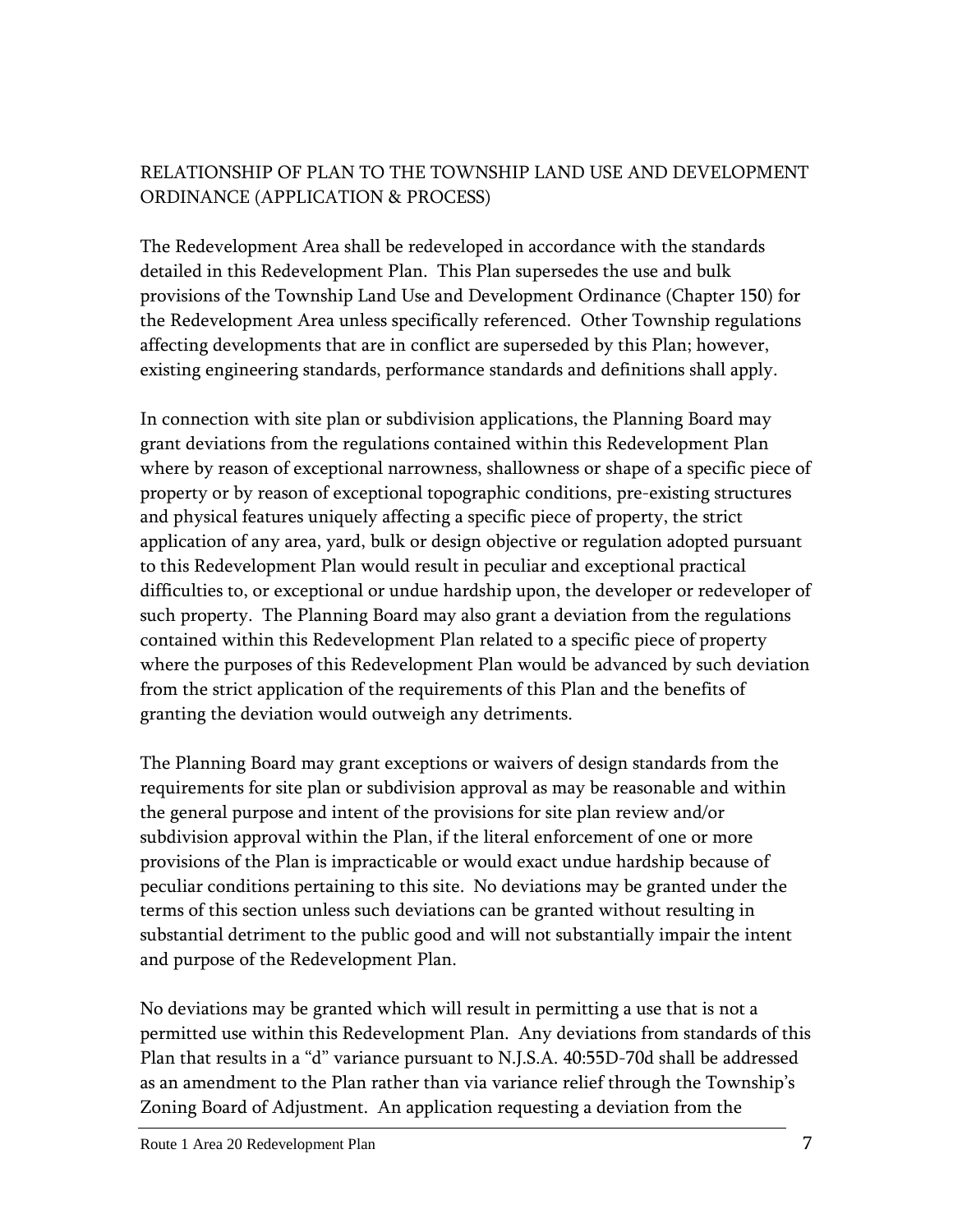## RELATIONSHIP OF PLAN TO THE TOWNSHIP LAND USE AND DEVELOPMENT ORDINANCE (APPLICATION & PROCESS)

The Redevelopment Area shall be redeveloped in accordance with the standards detailed in this Redevelopment Plan. This Plan supersedes the use and bulk provisions of the Township Land Use and Development Ordinance (Chapter 150) for the Redevelopment Area unless specifically referenced. Other Township regulations affecting developments that are in conflict are superseded by this Plan; however, existing engineering standards, performance standards and definitions shall apply.

In connection with site plan or subdivision applications, the Planning Board may grant deviations from the regulations contained within this Redevelopment Plan where by reason of exceptional narrowness, shallowness or shape of a specific piece of property or by reason of exceptional topographic conditions, pre-existing structures and physical features uniquely affecting a specific piece of property, the strict application of any area, yard, bulk or design objective or regulation adopted pursuant to this Redevelopment Plan would result in peculiar and exceptional practical difficulties to, or exceptional or undue hardship upon, the developer or redeveloper of such property. The Planning Board may also grant a deviation from the regulations contained within this Redevelopment Plan related to a specific piece of property where the purposes of this Redevelopment Plan would be advanced by such deviation from the strict application of the requirements of this Plan and the benefits of granting the deviation would outweigh any detriments.

The Planning Board may grant exceptions or waivers of design standards from the requirements for site plan or subdivision approval as may be reasonable and within the general purpose and intent of the provisions for site plan review and/or subdivision approval within the Plan, if the literal enforcement of one or more provisions of the Plan is impracticable or would exact undue hardship because of peculiar conditions pertaining to this site. No deviations may be granted under the terms of this section unless such deviations can be granted without resulting in substantial detriment to the public good and will not substantially impair the intent and purpose of the Redevelopment Plan.

No deviations may be granted which will result in permitting a use that is not a permitted use within this Redevelopment Plan. Any deviations from standards of this Plan that results in a "d" variance pursuant to N.J.S.A. 40:55D-70d shall be addressed as an amendment to the Plan rather than via variance relief through the Township's Zoning Board of Adjustment. An application requesting a deviation from the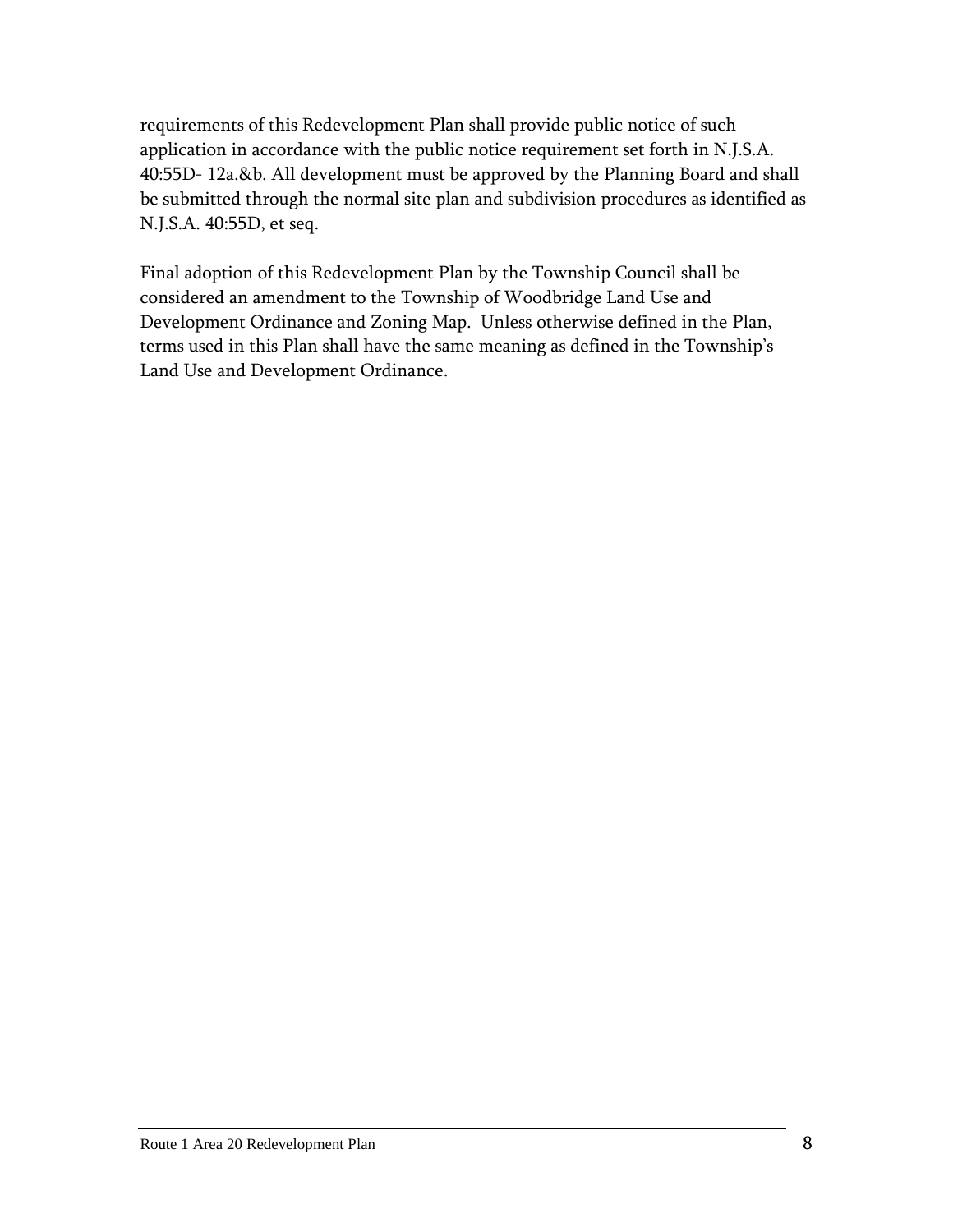requirements of this Redevelopment Plan shall provide public notice of such application in accordance with the public notice requirement set forth in N.J.S.A. 40:55D- 12a.&b. All development must be approved by the Planning Board and shall be submitted through the normal site plan and subdivision procedures as identified as N.J.S.A. 40:55D, et seq.

Final adoption of this Redevelopment Plan by the Township Council shall be considered an amendment to the Township of Woodbridge Land Use and Development Ordinance and Zoning Map. Unless otherwise defined in the Plan, terms used in this Plan shall have the same meaning as defined in the Township's Land Use and Development Ordinance.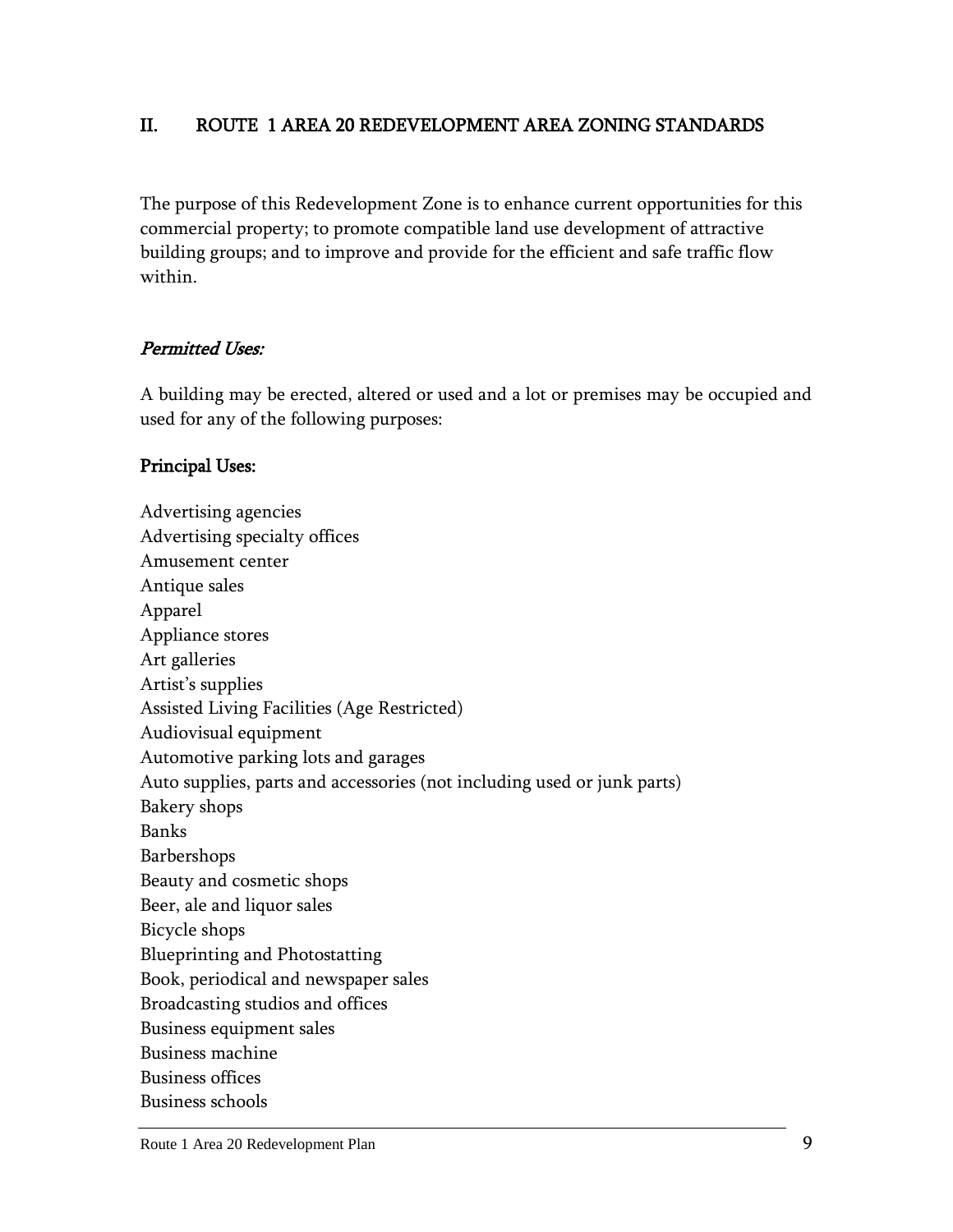## <span id="page-11-0"></span>II. ROUTE 1 AREA 20 REDEVELOPMENT AREA ZONING STANDARDS

The purpose of this Redevelopment Zone is to enhance current opportunities for this commercial property; to promote compatible land use development of attractive building groups; and to improve and provide for the efficient and safe traffic flow within.

#### Permitted Uses:

A building may be erected, altered or used and a lot or premises may be occupied and used for any of the following purposes:

#### Principal Uses:

Advertising agencies Advertising specialty offices Amusement center Antique sales Apparel Appliance stores Art galleries Artist's supplies Assisted Living Facilities (Age Restricted) Audiovisual equipment Automotive parking lots and garages Auto supplies, parts and accessories (not including used or junk parts) Bakery shops Banks Barbershops Beauty and cosmetic shops Beer, ale and liquor sales Bicycle shops Blueprinting and Photostatting Book, periodical and newspaper sales Broadcasting studios and offices Business equipment sales Business machine Business offices Business schools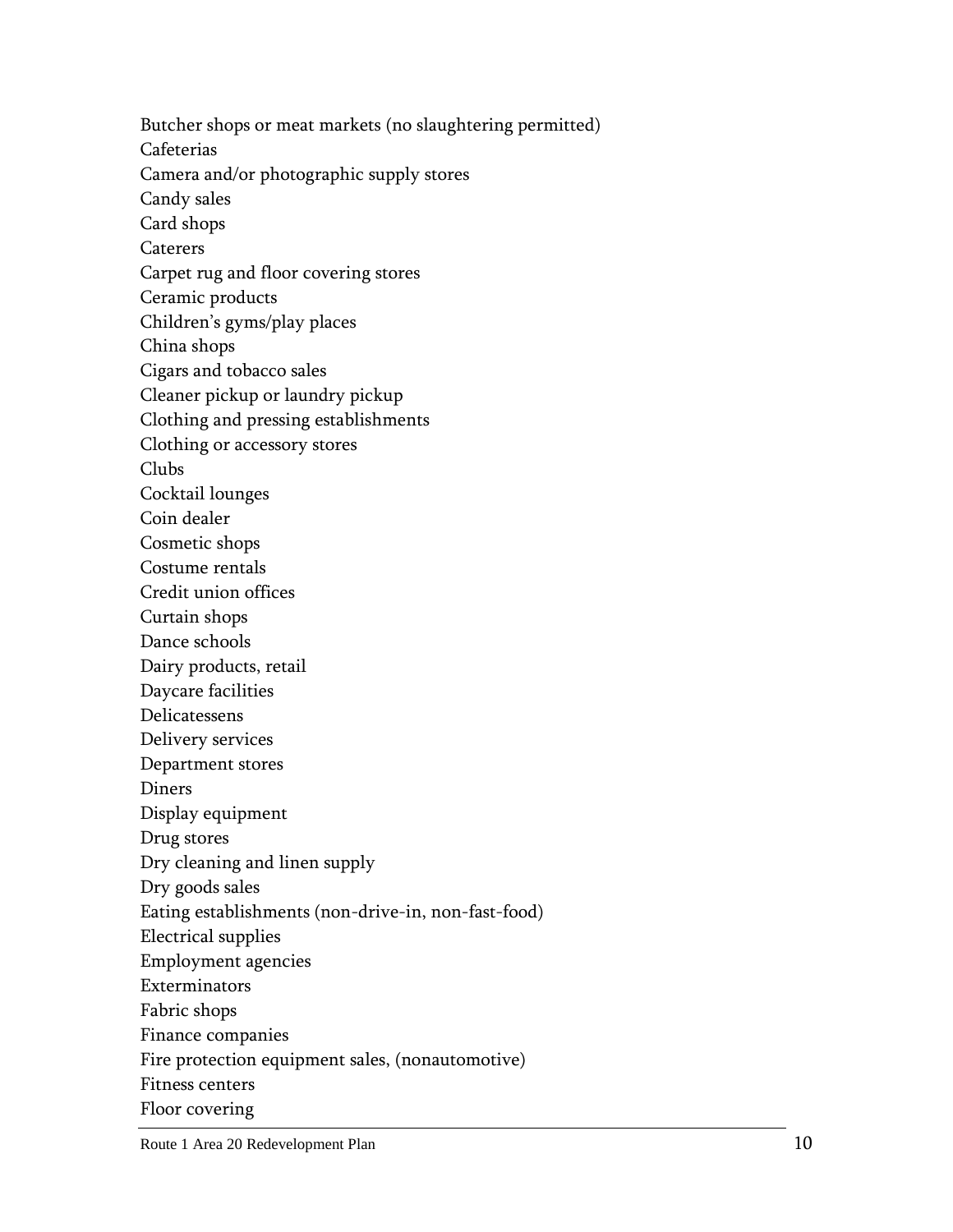Butcher shops or meat markets (no slaughtering permitted) Cafeterias Camera and/or photographic supply stores Candy sales Card shops Caterers Carpet rug and floor covering stores Ceramic products Children's gyms/play places China shops Cigars and tobacco sales Cleaner pickup or laundry pickup Clothing and pressing establishments Clothing or accessory stores Clubs Cocktail lounges Coin dealer Cosmetic shops Costume rentals Credit union offices Curtain shops Dance schools Dairy products, retail Daycare facilities Delicatessens Delivery services Department stores Diners Display equipment Drug stores Dry cleaning and linen supply Dry goods sales Eating establishments (non-drive-in, non-fast-food) Electrical supplies Employment agencies Exterminators Fabric shops Finance companies Fire protection equipment sales, (nonautomotive) Fitness centers Floor covering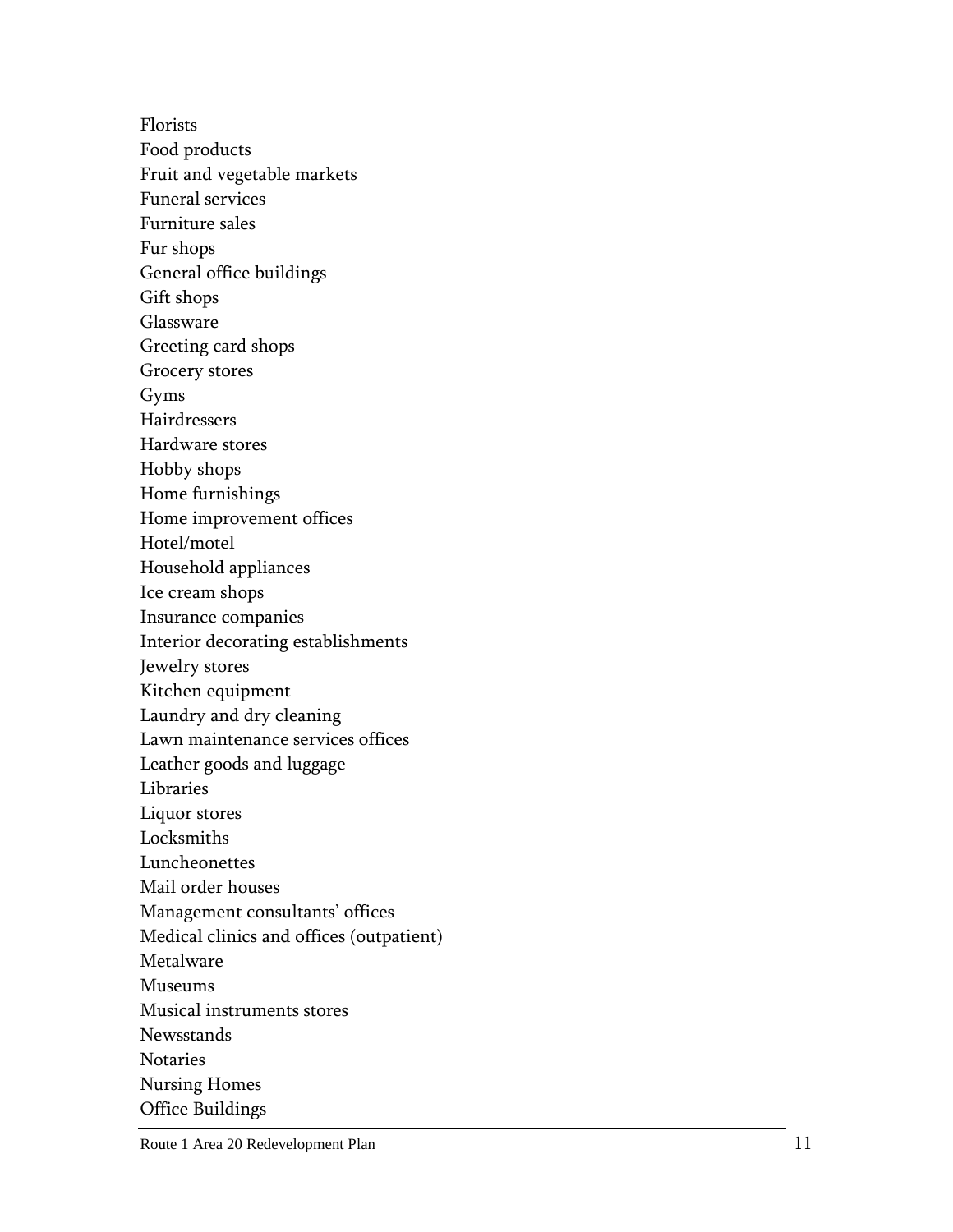Florists Food products Fruit and vegetable markets Funeral services Furniture sales Fur shops General office buildings Gift shops Glassware Greeting card shops Grocery stores Gyms Hairdressers Hardware stores Hobby shops Home furnishings Home improvement offices Hotel/motel Household appliances Ice cream shops Insurance companies Interior decorating establishments Jewelry stores Kitchen equipment Laundry and dry cleaning Lawn maintenance services offices Leather goods and luggage Libraries Liquor stores Locksmiths Luncheonettes Mail order houses Management consultants' offices Medical clinics and offices (outpatient) Metalware Museums Musical instruments stores

Newsstands

Notaries

Nursing Homes

Office Buildings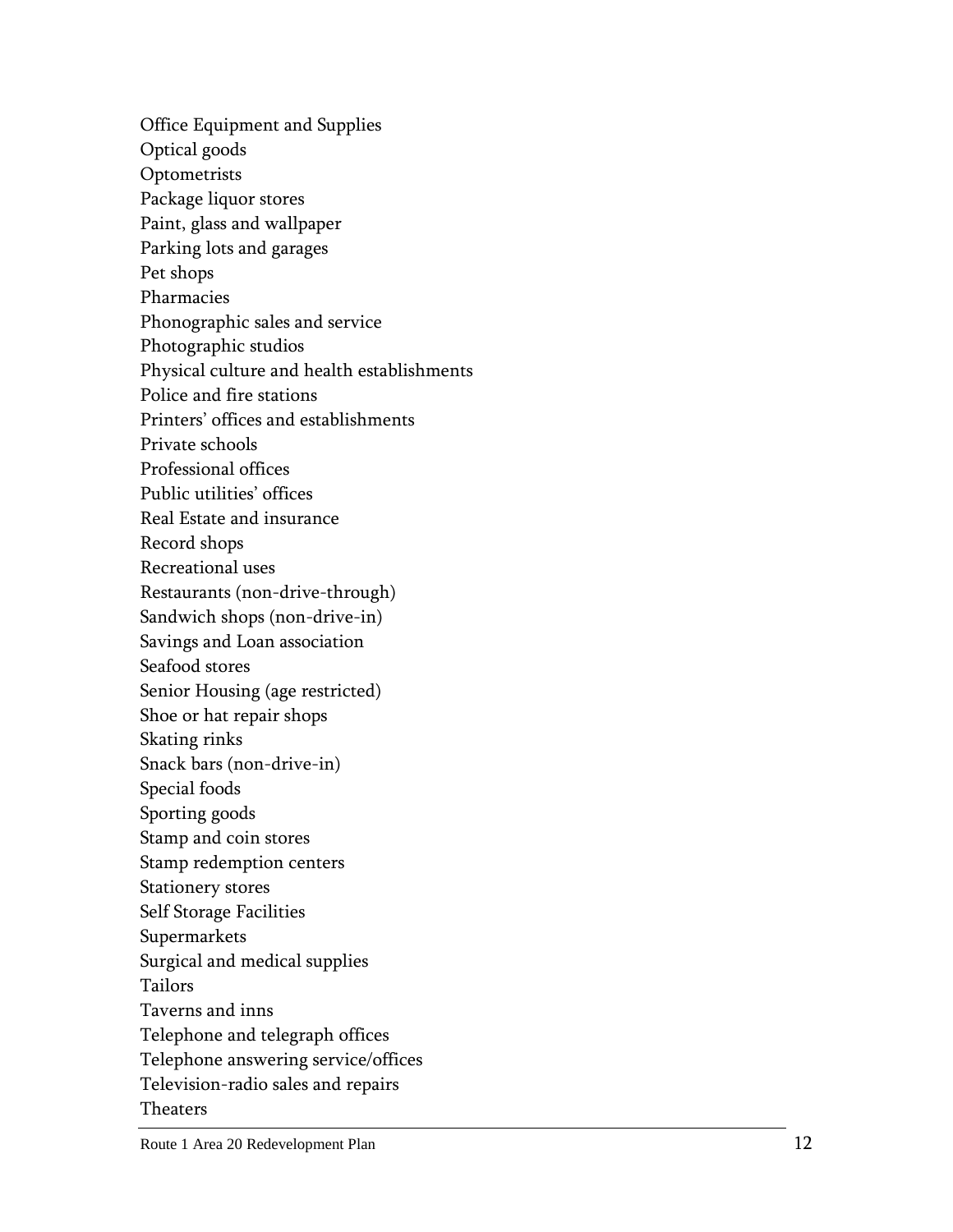Office Equipment and Supplies Optical goods **Optometrists** Package liquor stores Paint, glass and wallpaper Parking lots and garages Pet shops Pharmacies Phonographic sales and service Photographic studios Physical culture and health establishments Police and fire stations Printers' offices and establishments Private schools Professional offices Public utilities' offices Real Estate and insurance Record shops Recreational uses Restaurants (non -drive -through ) Sandwich shops (non -drive -in) Savings and Loan association Seafood stores Senior Housing (age restricted) Shoe or hat repair shops Skating rinks Snack bars (non -drive -in) Special foods Sporting goods Stamp and coin stores Stamp redemption centers Stationery stores Self Storage Facilities Supermarkets Surgical and medical supplies Tailors Taverns and inns Telephone and telegraph offices Telephone answering service/offices Television -radio sales and repairs Theaters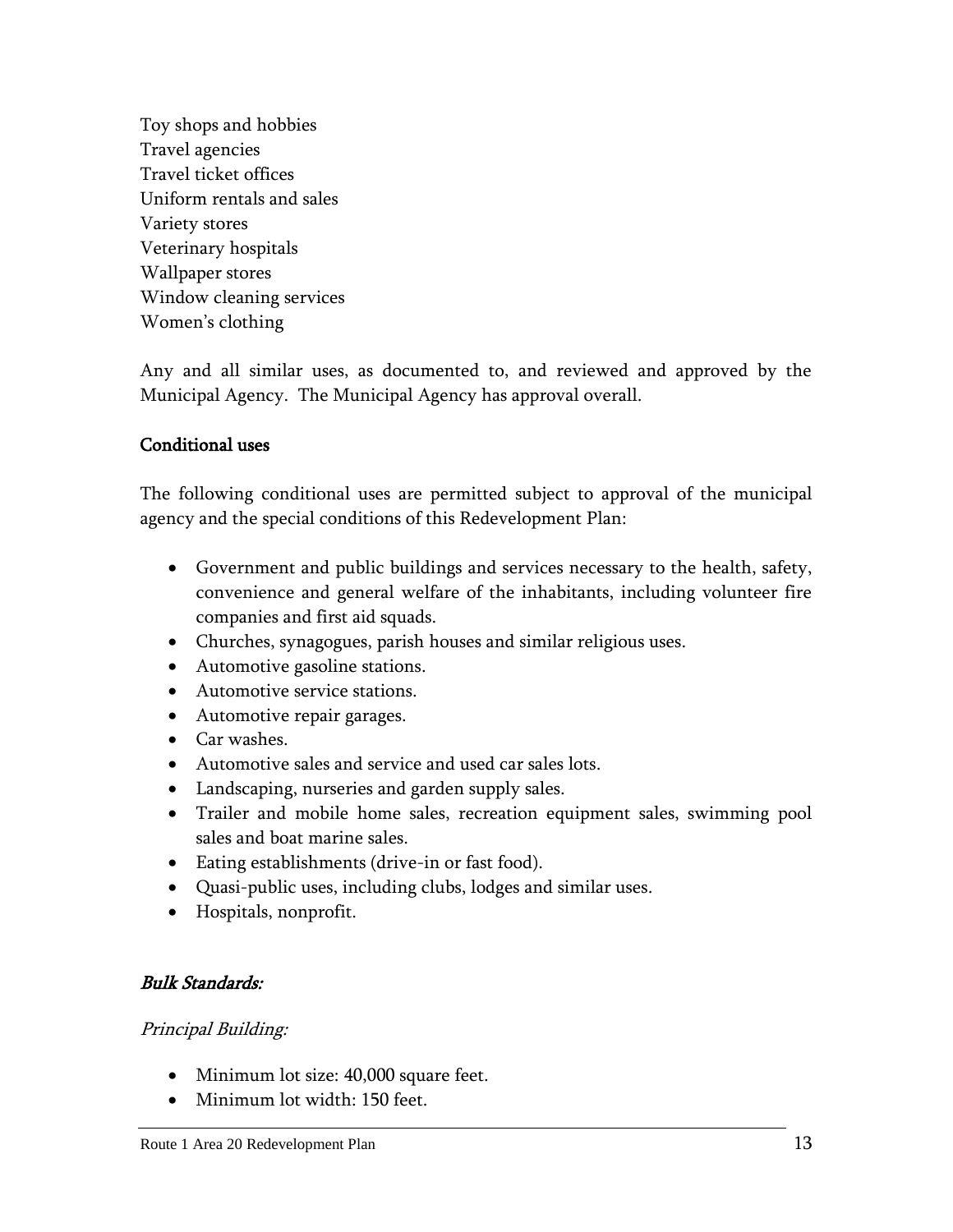Toy shops and hobbies Travel agencies Travel ticket offices Uniform rentals and sales Variety stores Veterinary hospitals Wallpaper stores Window cleaning services Women's clothing

Any and all similar uses, as documented to, and reviewed and approved by the Municipal Agency. The Municipal Agency has approval overall.

#### Conditional uses

The following conditional uses are permitted subject to approval of the municipal agency and the special conditions of this Redevelopment Plan:

- Government and public buildings and services necessary to the health, safety, convenience and general welfare of the inhabitants, including volunteer fire companies and first aid squads.
- Churches, synagogues, parish houses and similar religious uses.
- Automotive gasoline stations.
- Automotive service stations.
- Automotive repair garages.
- Car washes.
- Automotive sales and service and used car sales lots.
- Landscaping, nurseries and garden supply sales.
- Trailer and mobile home sales, recreation equipment sales, swimming pool sales and boat marine sales.
- Eating establishments (drive-in or fast food).
- Quasi-public uses, including clubs, lodges and similar uses.
- Hospitals, nonprofit.

#### Bulk Standards:

#### Principal Building:

- Minimum lot size: 40,000 square feet.
- Minimum lot width: 150 feet.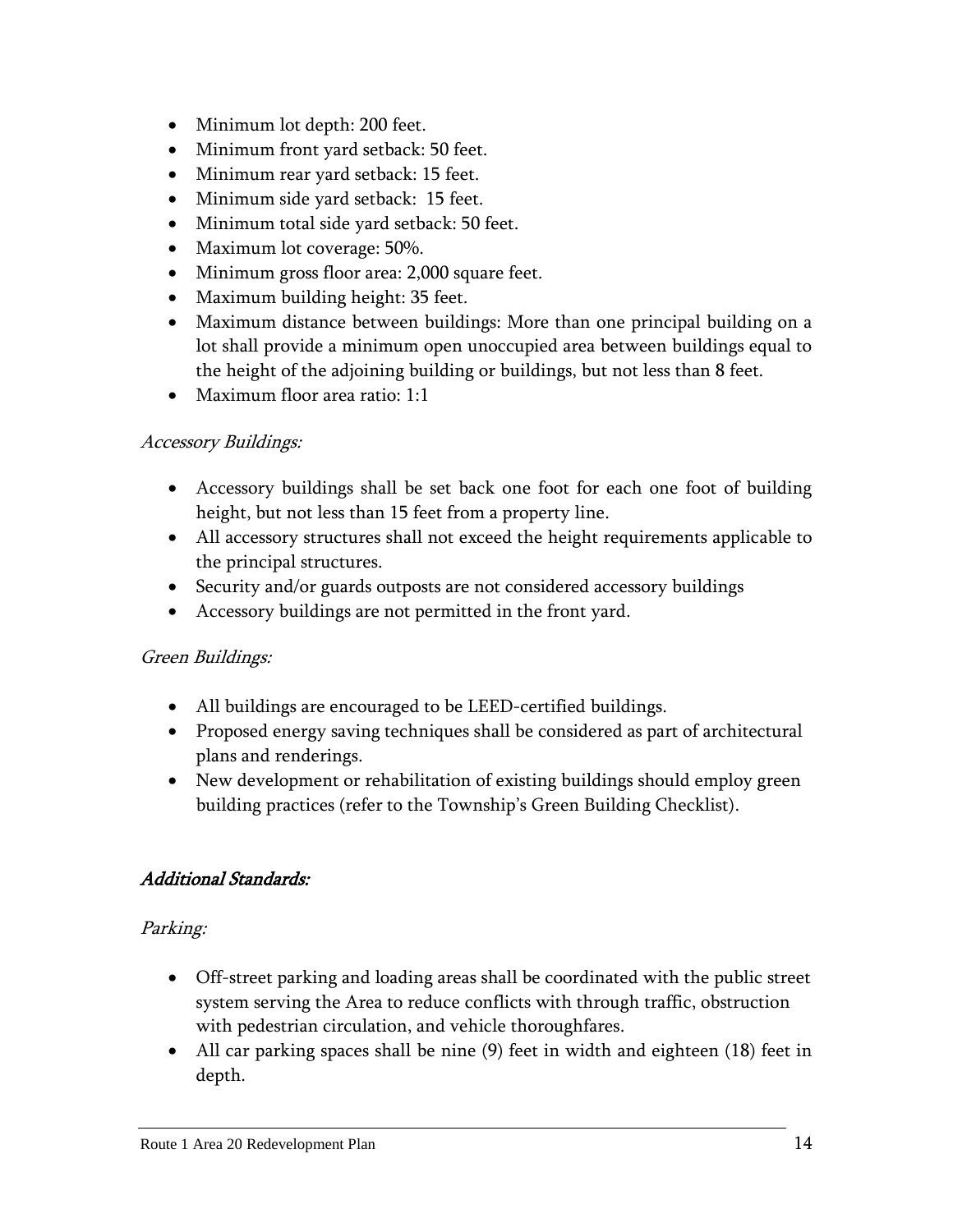- Minimum lot depth: 200 feet.
- Minimum front yard setback: 50 feet.
- Minimum rear yard setback: 15 feet.
- Minimum side yard setback: 15 feet.
- Minimum total side yard setback: 50 feet.
- Maximum lot coverage: 50%.
- Minimum gross floor area: 2,000 square feet.
- Maximum building height: 35 feet.
- Maximum distance between buildings: More than one principal building on a lot shall provide a minimum open unoccupied area between buildings equal to the height of the adjoining building or buildings, but not less than 8 feet.
- Maximum floor area ratio: 1:1

#### Accessory Buildings:

- Accessory buildings shall be set back one foot for each one foot of building height, but not less than 15 feet from a property line.
- All accessory structures shall not exceed the height requirements applicable to the principal structures.
- Security and/or guards outposts are not considered accessory buildings
- Accessory buildings are not permitted in the front yard.

## Green Buildings:

- All buildings are encouraged to be LEED-certified buildings.
- Proposed energy saving techniques shall be considered as part of architectural plans and renderings.
- New development or rehabilitation of existing buildings should employ green building practices (refer to the Township's Green Building Checklist).

#### Additional Standards:

#### Parking:

- Off-street parking and loading areas shall be coordinated with the public street system serving the Area to reduce conflicts with through traffic, obstruction with pedestrian circulation, and vehicle thoroughfares.
- All car parking spaces shall be nine (9) feet in width and eighteen (18) feet in depth.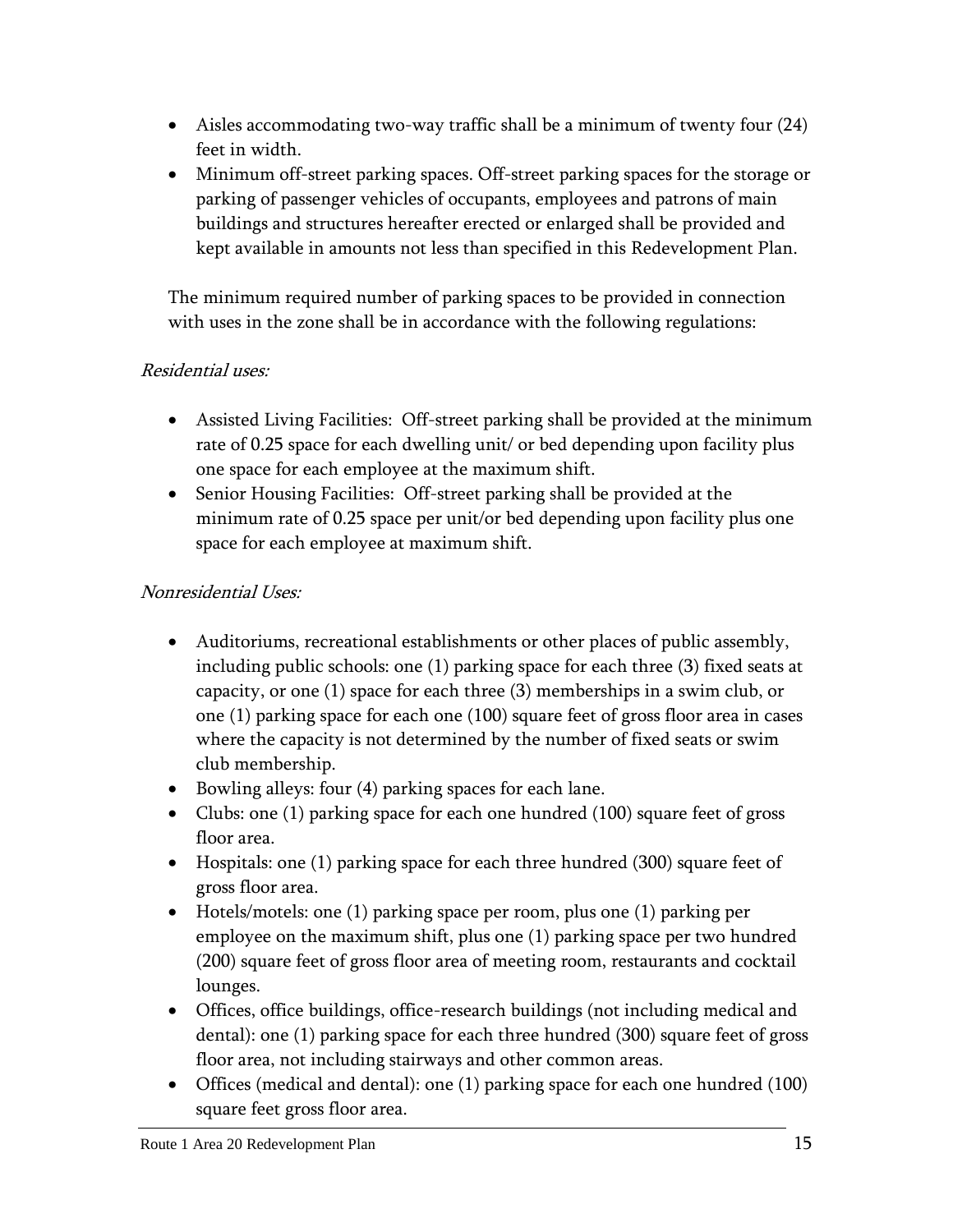- Aisles accommodating two-way traffic shall be a minimum of twenty four (24) feet in width.
- Minimum off-street parking spaces. Off-street parking spaces for the storage or parking of passenger vehicles of occupants, employees and patrons of main buildings and structures hereafter erected or enlarged shall be provided and kept available in amounts not less than specified in this Redevelopment Plan.

The minimum required number of parking spaces to be provided in connection with uses in the zone shall be in accordance with the following regulations:

## Residential uses:

- Assisted Living Facilities: Off-street parking shall be provided at the minimum rate of 0.25 space for each dwelling unit/ or bed depending upon facility plus one space for each employee at the maximum shift.
- Senior Housing Facilities: Off-street parking shall be provided at the minimum rate of 0.25 space per unit/or bed depending upon facility plus one space for each employee at maximum shift.

## Nonresidential Uses:

- Auditoriums, recreational establishments or other places of public assembly, including public schools: one (1) parking space for each three (3) fixed seats at capacity, or one (1) space for each three (3) memberships in a swim club, or one (1) parking space for each one (100) square feet of gross floor area in cases where the capacity is not determined by the number of fixed seats or swim club membership.
- Bowling alleys: four (4) parking spaces for each lane.
- Clubs: one (1) parking space for each one hundred (100) square feet of gross floor area.
- Hospitals: one (1) parking space for each three hundred (300) square feet of gross floor area.
- Hotels/motels: one (1) parking space per room, plus one (1) parking per employee on the maximum shift, plus one (1) parking space per two hundred (200) square feet of gross floor area of meeting room, restaurants and cocktail lounges.
- Offices, office buildings, office-research buildings (not including medical and dental): one (1) parking space for each three hundred (300) square feet of gross floor area, not including stairways and other common areas.
- Offices (medical and dental): one (1) parking space for each one hundred (100) square feet gross floor area.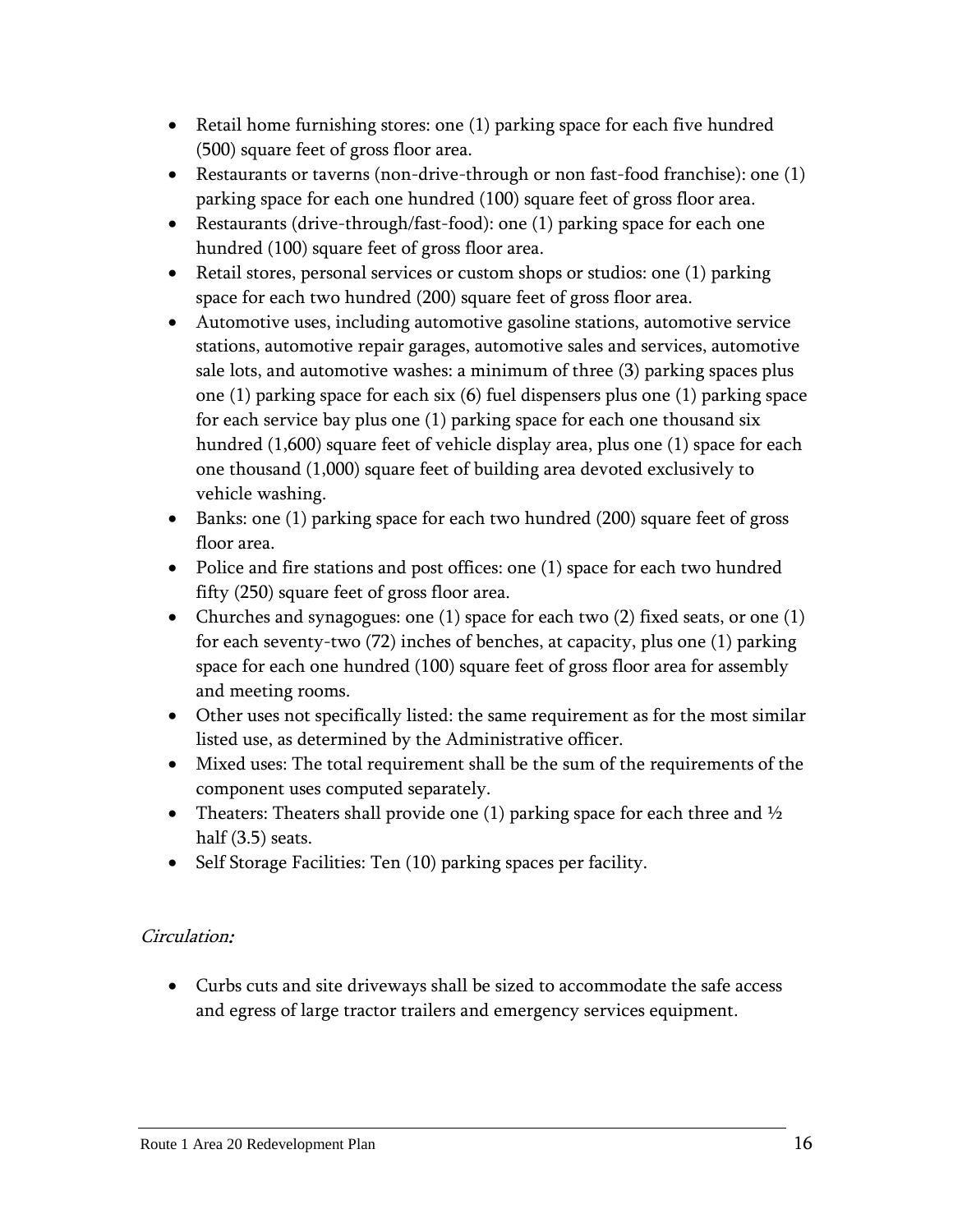- Retail home furnishing stores: one (1) parking space for each five hundred (500) square feet of gross floor area.
- Restaurants or taverns (non-drive-through or non fast-food franchise): one (1) parking space for each one hundred (100) square feet of gross floor area.
- Execution Restaurants (drive-through/fast-food): one  $(1)$  parking space for each one hundred (100) square feet of gross floor area.
- Retail stores, personal services or custom shops or studios: one (1) parking space for each two hundred (200) square feet of gross floor area.
- Automotive uses, including automotive gasoline stations, automotive service stations, automotive repair garages, automotive sales and services, automotive sale lots, and automotive washes: a minimum of three (3) parking spaces plus one (1) parking space for each six (6) fuel dispensers plus one (1) parking space for each service bay plus one (1) parking space for each one thousand six hundred (1,600) square feet of vehicle display area, plus one (1) space for each one thousand (1,000) square feet of building area devoted exclusively to vehicle washing.
- Banks: one (1) parking space for each two hundred (200) square feet of gross floor area.
- Police and fire stations and post offices: one (1) space for each two hundred fifty (250) square feet of gross floor area.
- Churches and synagogues: one (1) space for each two (2) fixed seats, or one (1) for each seventy-two (72) inches of benches, at capacity, plus one (1) parking space for each one hundred (100) square feet of gross floor area for assembly and meeting rooms.
- Other uses not specifically listed: the same requirement as for the most similar listed use, as determined by the Administrative officer.
- Mixed uses: The total requirement shall be the sum of the requirements of the component uses computed separately.
- Theaters: Theaters shall provide one (1) parking space for each three and  $\frac{1}{2}$ half (3.5) seats.
- Self Storage Facilities: Ten (10) parking spaces per facility.

## Circulation:

 Curbs cuts and site driveways shall be sized to accommodate the safe access and egress of large tractor trailers and emergency services equipment.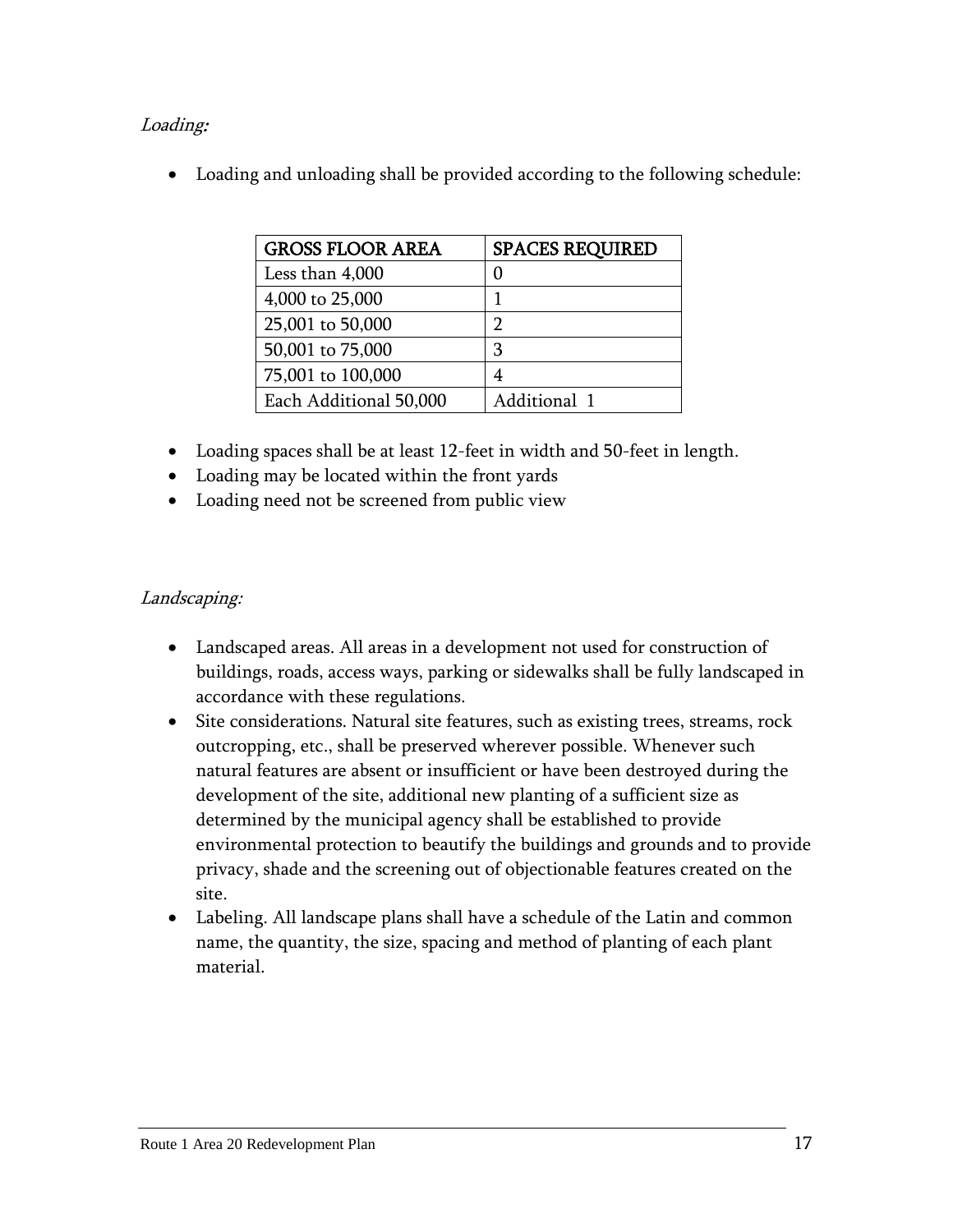## Loading:

Loading and unloading shall be provided according to the following schedule:

| <b>GROSS FLOOR AREA</b> | <b>SPACES REQUIRED</b> |
|-------------------------|------------------------|
| Less than 4,000         | 0                      |
| 4,000 to 25,000         |                        |
| 25,001 to 50,000        | ר                      |
| 50,001 to 75,000        | З                      |
| 75,001 to 100,000       |                        |
| Each Additional 50,000  | Additional 1           |

- Loading spaces shall be at least 12-feet in width and 50-feet in length.
- Loading may be located within the front yards
- Loading need not be screened from public view

## Landscaping:

- Landscaped areas. All areas in a development not used for construction of buildings, roads, access ways, parking or sidewalks shall be fully landscaped in accordance with these regulations.
- Site considerations. Natural site features, such as existing trees, streams, rock outcropping, etc., shall be preserved wherever possible. Whenever such natural features are absent or insufficient or have been destroyed during the development of the site, additional new planting of a sufficient size as determined by the municipal agency shall be established to provide environmental protection to beautify the buildings and grounds and to provide privacy, shade and the screening out of objectionable features created on the site.
- Labeling. All landscape plans shall have a schedule of the Latin and common name, the quantity, the size, spacing and method of planting of each plant material.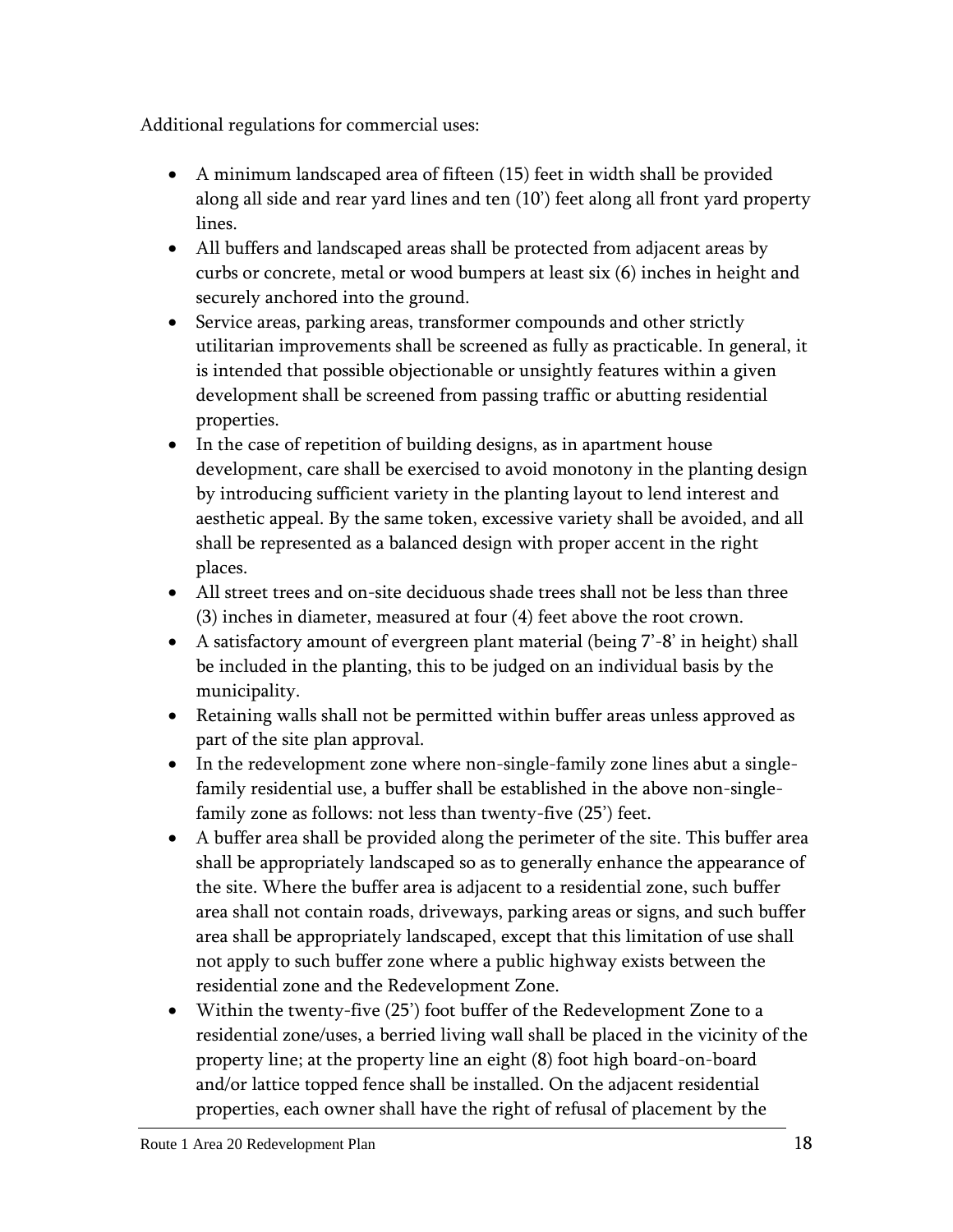Additional regulations for commercial uses:

- A minimum landscaped area of fifteen (15) feet in width shall be provided along all side and rear yard lines and ten (10') feet along all front yard property lines.
- All buffers and landscaped areas shall be protected from adjacent areas by curbs or concrete, metal or wood bumpers at least six (6) inches in height and securely anchored into the ground.
- Service areas, parking areas, transformer compounds and other strictly utilitarian improvements shall be screened as fully as practicable. In general, it is intended that possible objectionable or unsightly features within a given development shall be screened from passing traffic or abutting residential properties.
- In the case of repetition of building designs, as in apartment house development, care shall be exercised to avoid monotony in the planting design by introducing sufficient variety in the planting layout to lend interest and aesthetic appeal. By the same token, excessive variety shall be avoided, and all shall be represented as a balanced design with proper accent in the right places.
- All street trees and on-site deciduous shade trees shall not be less than three (3) inches in diameter, measured at four (4) feet above the root crown.
- A satisfactory amount of evergreen plant material (being 7'-8' in height) shall be included in the planting, this to be judged on an individual basis by the municipality.
- Retaining walls shall not be permitted within buffer areas unless approved as part of the site plan approval.
- In the redevelopment zone where non-single-family zone lines abut a singlefamily residential use, a buffer shall be established in the above non-singlefamily zone as follows: not less than twenty-five (25') feet.
- A buffer area shall be provided along the perimeter of the site. This buffer area shall be appropriately landscaped so as to generally enhance the appearance of the site. Where the buffer area is adjacent to a residential zone, such buffer area shall not contain roads, driveways, parking areas or signs, and such buffer area shall be appropriately landscaped, except that this limitation of use shall not apply to such buffer zone where a public highway exists between the residential zone and the Redevelopment Zone.
- Within the twenty-five (25') foot buffer of the Redevelopment Zone to a residential zone/uses, a berried living wall shall be placed in the vicinity of the property line; at the property line an eight (8) foot high board-on-board and/or lattice topped fence shall be installed. On the adjacent residential properties, each owner shall have the right of refusal of placement by the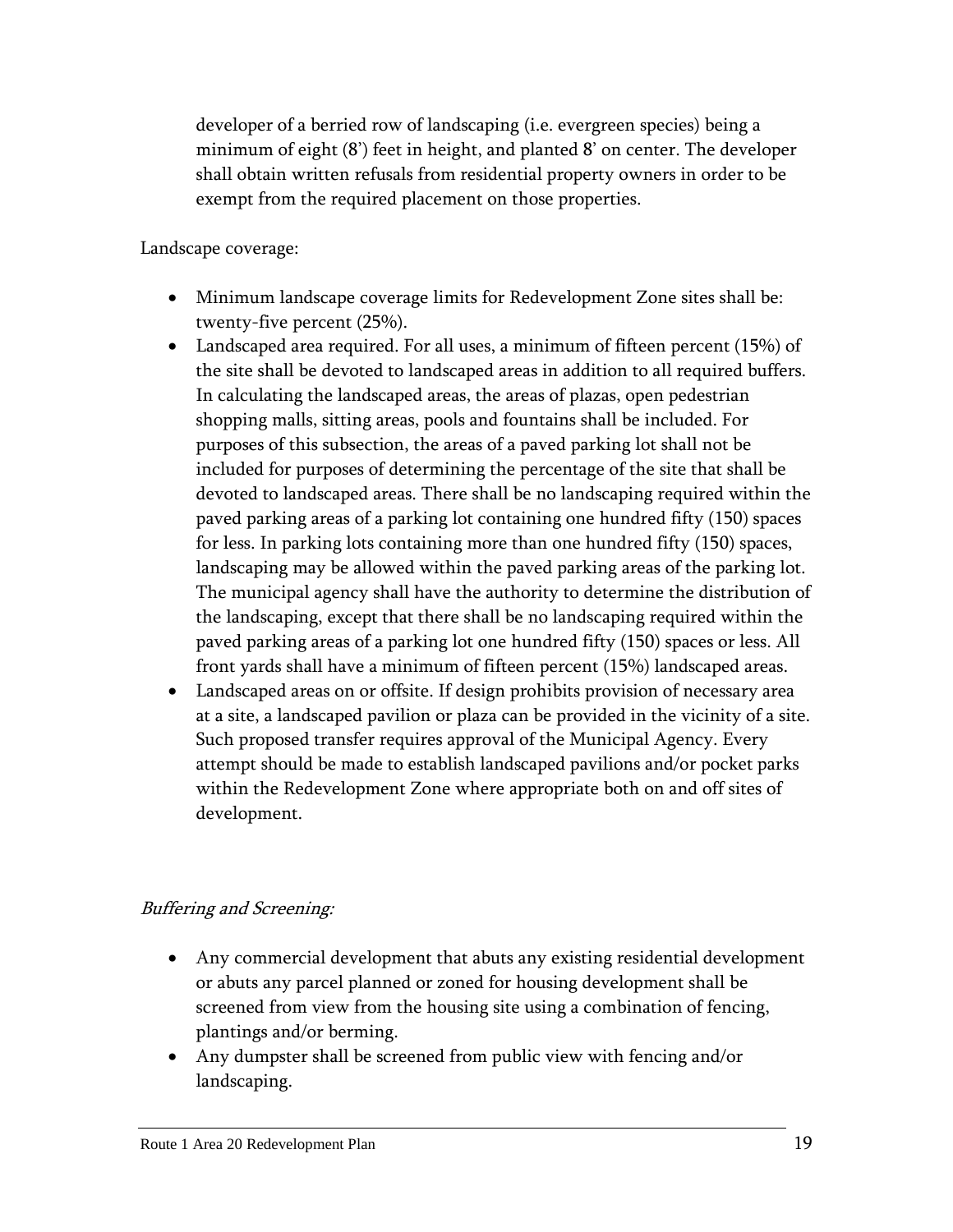developer of a berried row of landscaping (i.e. evergreen species) being a minimum of eight (8') feet in height, and planted 8' on center. The developer shall obtain written refusals from residential property owners in order to be exempt from the required placement on those properties.

Landscape coverage:

- Minimum landscape coverage limits for Redevelopment Zone sites shall be: twenty-five percent (25%).
- Landscaped area required. For all uses, a minimum of fifteen percent (15%) of the site shall be devoted to landscaped areas in addition to all required buffers. In calculating the landscaped areas, the areas of plazas, open pedestrian shopping malls, sitting areas, pools and fountains shall be included. For purposes of this subsection, the areas of a paved parking lot shall not be included for purposes of determining the percentage of the site that shall be devoted to landscaped areas. There shall be no landscaping required within the paved parking areas of a parking lot containing one hundred fifty (150) spaces for less. In parking lots containing more than one hundred fifty (150) spaces, landscaping may be allowed within the paved parking areas of the parking lot. The municipal agency shall have the authority to determine the distribution of the landscaping, except that there shall be no landscaping required within the paved parking areas of a parking lot one hundred fifty (150) spaces or less. All front yards shall have a minimum of fifteen percent (15%) landscaped areas.
- Landscaped areas on or offsite. If design prohibits provision of necessary area at a site, a landscaped pavilion or plaza can be provided in the vicinity of a site. Such proposed transfer requires approval of the Municipal Agency. Every attempt should be made to establish landscaped pavilions and/or pocket parks within the Redevelopment Zone where appropriate both on and off sites of development.

## Buffering and Screening:

- Any commercial development that abuts any existing residential development or abuts any parcel planned or zoned for housing development shall be screened from view from the housing site using a combination of fencing, plantings and/or berming.
- Any dumpster shall be screened from public view with fencing and/or landscaping.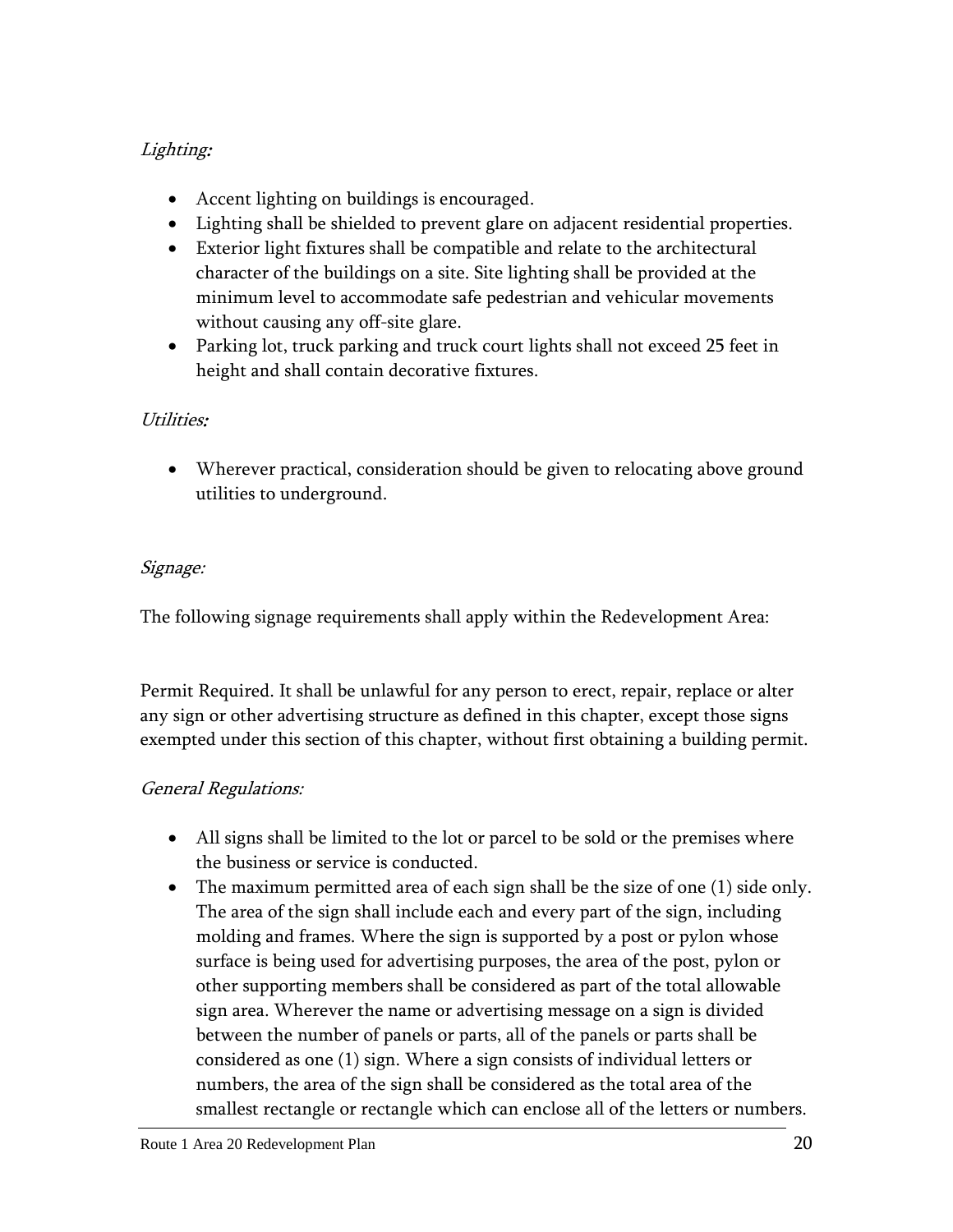## Lighting:

- Accent lighting on buildings is encouraged.
- Lighting shall be shielded to prevent glare on adjacent residential properties.
- Exterior light fixtures shall be compatible and relate to the architectural character of the buildings on a site. Site lighting shall be provided at the minimum level to accommodate safe pedestrian and vehicular movements without causing any off-site glare.
- Parking lot, truck parking and truck court lights shall not exceed 25 feet in height and shall contain decorative fixtures.

## Utilities:

 Wherever practical, consideration should be given to relocating above ground utilities to underground.

## Signage:

The following signage requirements shall apply within the Redevelopment Area:

Permit Required. It shall be unlawful for any person to erect, repair, replace or alter any sign or other advertising structure as defined in this chapter, except those signs exempted under this section of this chapter, without first obtaining a building permit.

## General Regulations:

- All signs shall be limited to the lot or parcel to be sold or the premises where the business or service is conducted.
- The maximum permitted area of each sign shall be the size of one (1) side only. The area of the sign shall include each and every part of the sign, including molding and frames. Where the sign is supported by a post or pylon whose surface is being used for advertising purposes, the area of the post, pylon or other supporting members shall be considered as part of the total allowable sign area. Wherever the name or advertising message on a sign is divided between the number of panels or parts, all of the panels or parts shall be considered as one (1) sign. Where a sign consists of individual letters or numbers, the area of the sign shall be considered as the total area of the smallest rectangle or rectangle which can enclose all of the letters or numbers.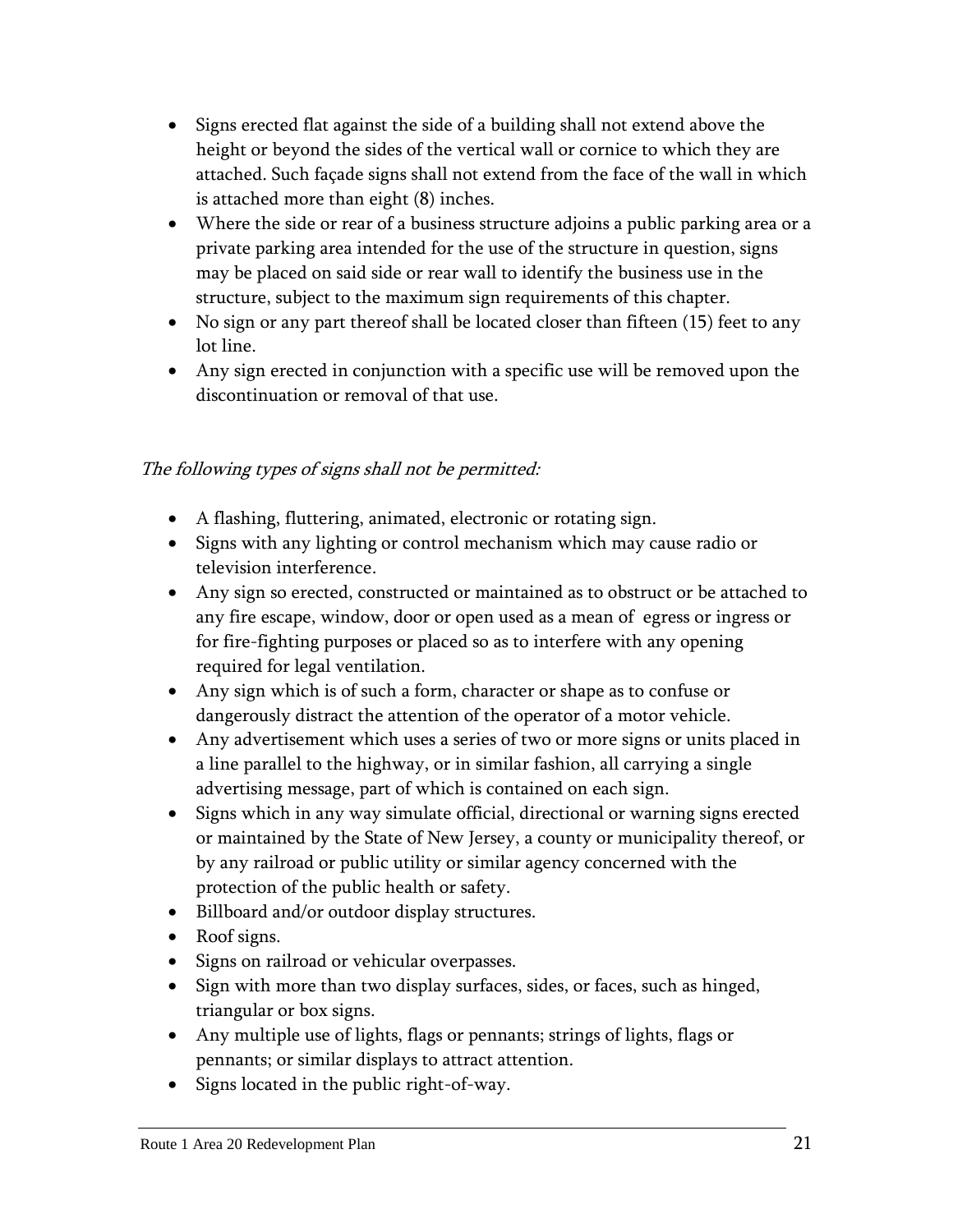- Signs erected flat against the side of a building shall not extend above the height or beyond the sides of the vertical wall or cornice to which they are attached. Such façade signs shall not extend from the face of the wall in which is attached more than eight (8) inches.
- Where the side or rear of a business structure adjoins a public parking area or a private parking area intended for the use of the structure in question, signs may be placed on said side or rear wall to identify the business use in the structure, subject to the maximum sign requirements of this chapter.
- No sign or any part thereof shall be located closer than fifteen (15) feet to any lot line.
- Any sign erected in conjunction with a specific use will be removed upon the discontinuation or removal of that use.

## The following types of signs shall not be permitted:

- A flashing, fluttering, animated, electronic or rotating sign.
- Signs with any lighting or control mechanism which may cause radio or television interference.
- Any sign so erected, constructed or maintained as to obstruct or be attached to any fire escape, window, door or open used as a mean of egress or ingress or for fire-fighting purposes or placed so as to interfere with any opening required for legal ventilation.
- Any sign which is of such a form, character or shape as to confuse or dangerously distract the attention of the operator of a motor vehicle.
- Any advertisement which uses a series of two or more signs or units placed in a line parallel to the highway, or in similar fashion, all carrying a single advertising message, part of which is contained on each sign.
- Signs which in any way simulate official, directional or warning signs erected or maintained by the State of New Jersey, a county or municipality thereof, or by any railroad or public utility or similar agency concerned with the protection of the public health or safety.
- Billboard and/or outdoor display structures.
- Roof signs.
- Signs on railroad or vehicular overpasses.
- Sign with more than two display surfaces, sides, or faces, such as hinged, triangular or box signs.
- Any multiple use of lights, flags or pennants; strings of lights, flags or pennants; or similar displays to attract attention.
- Signs located in the public right-of-way.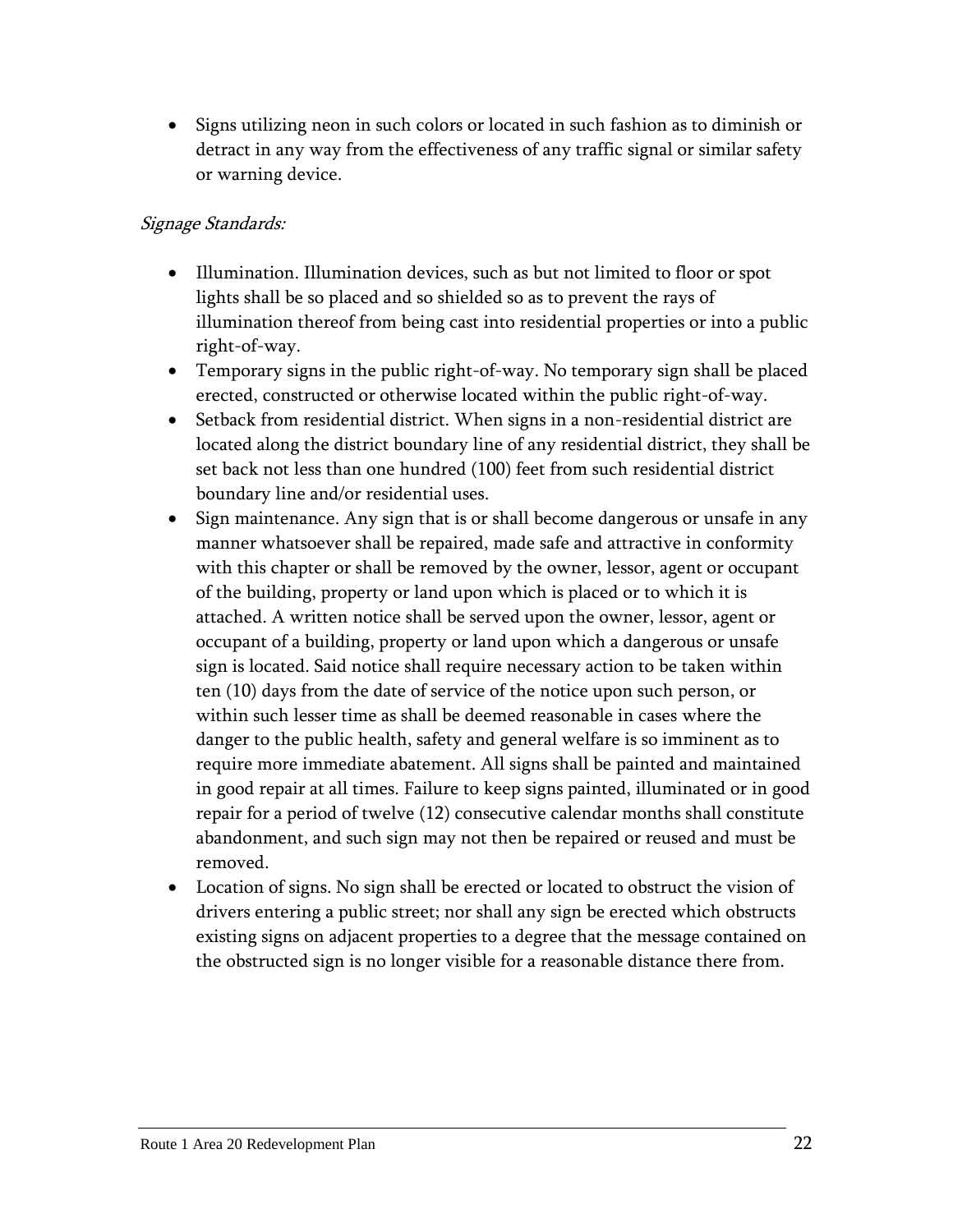• Signs utilizing neon in such colors or located in such fashion as to diminish or detract in any way from the effectiveness of any traffic signal or similar safety or warning device.

## Signage Standards:

- Illumination. Illumination devices, such as but not limited to floor or spot lights shall be so placed and so shielded so as to prevent the rays of illumination thereof from being cast into residential properties or into a public right-of-way.
- Temporary signs in the public right-of-way. No temporary sign shall be placed erected, constructed or otherwise located within the public right-of-way.
- Setback from residential district. When signs in a non-residential district are located along the district boundary line of any residential district, they shall be set back not less than one hundred (100) feet from such residential district boundary line and/or residential uses.
- Sign maintenance. Any sign that is or shall become dangerous or unsafe in any manner whatsoever shall be repaired, made safe and attractive in conformity with this chapter or shall be removed by the owner, lessor, agent or occupant of the building, property or land upon which is placed or to which it is attached. A written notice shall be served upon the owner, lessor, agent or occupant of a building, property or land upon which a dangerous or unsafe sign is located. Said notice shall require necessary action to be taken within ten (10) days from the date of service of the notice upon such person, or within such lesser time as shall be deemed reasonable in cases where the danger to the public health, safety and general welfare is so imminent as to require more immediate abatement. All signs shall be painted and maintained in good repair at all times. Failure to keep signs painted, illuminated or in good repair for a period of twelve (12) consecutive calendar months shall constitute abandonment, and such sign may not then be repaired or reused and must be removed.
- Location of signs. No sign shall be erected or located to obstruct the vision of drivers entering a public street; nor shall any sign be erected which obstructs existing signs on adjacent properties to a degree that the message contained on the obstructed sign is no longer visible for a reasonable distance there from.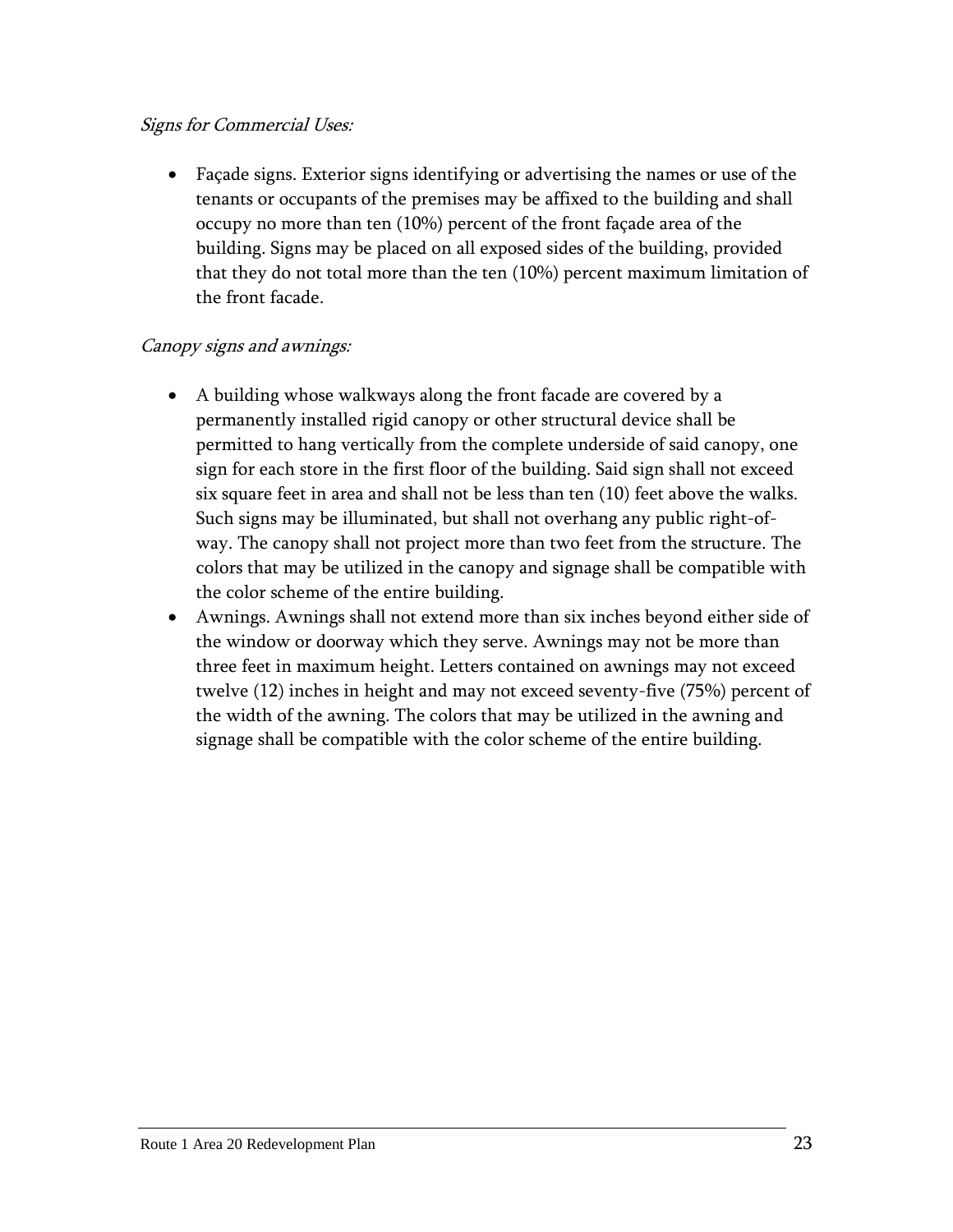## Signs for Commercial Uses:

 Façade signs. Exterior signs identifying or advertising the names or use of the tenants or occupants of the premises may be affixed to the building and shall occupy no more than ten (10%) percent of the front façade area of the building. Signs may be placed on all exposed sides of the building, provided that they do not total more than the ten (10%) percent maximum limitation of the front facade.

## Canopy signs and awnings:

- A building whose walkways along the front facade are covered by a permanently installed rigid canopy or other structural device shall be permitted to hang vertically from the complete underside of said canopy, one sign for each store in the first floor of the building. Said sign shall not exceed six square feet in area and shall not be less than ten (10) feet above the walks. Such signs may be illuminated, but shall not overhang any public right-ofway. The canopy shall not project more than two feet from the structure. The colors that may be utilized in the canopy and signage shall be compatible with the color scheme of the entire building.
- Awnings. Awnings shall not extend more than six inches beyond either side of the window or doorway which they serve. Awnings may not be more than three feet in maximum height. Letters contained on awnings may not exceed twelve (12) inches in height and may not exceed seventy-five (75%) percent of the width of the awning. The colors that may be utilized in the awning and signage shall be compatible with the color scheme of the entire building.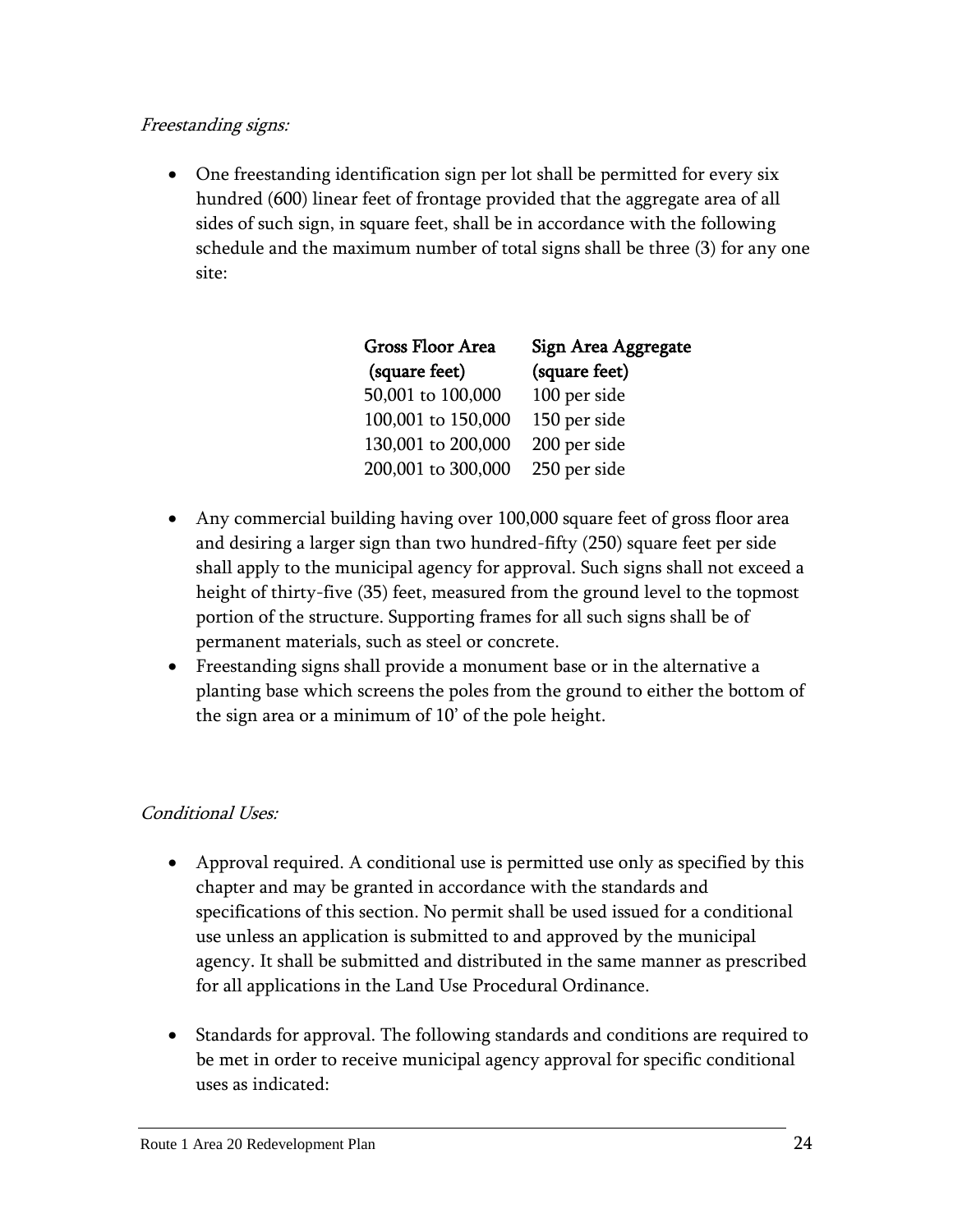## Freestanding signs:

 One freestanding identification sign per lot shall be permitted for every six hundred (600) linear feet of frontage provided that the aggregate area of all sides of such sign, in square feet, shall be in accordance with the following schedule and the maximum number of total signs shall be three (3) for any one site:

| Gross Floor Area<br>(square feet) | Sign Area Aggregate<br>(square feet) |
|-----------------------------------|--------------------------------------|
| 50,001 to 100,000                 | 100 per side                         |
| 100,001 to 150,000                | 150 per side                         |
| 130,001 to 200,000                | 200 per side                         |
| 200,001 to 300,000                | 250 per side                         |

- Any commercial building having over 100,000 square feet of gross floor area and desiring a larger sign than two hundred-fifty (250) square feet per side shall apply to the municipal agency for approval. Such signs shall not exceed a height of thirty-five (35) feet, measured from the ground level to the topmost portion of the structure. Supporting frames for all such signs shall be of permanent materials, such as steel or concrete.
- Freestanding signs shall provide a monument base or in the alternative a planting base which screens the poles from the ground to either the bottom of the sign area or a minimum of 10' of the pole height.

## Conditional Uses:

- Approval required. A conditional use is permitted use only as specified by this chapter and may be granted in accordance with the standards and specifications of this section. No permit shall be used issued for a conditional use unless an application is submitted to and approved by the municipal agency. It shall be submitted and distributed in the same manner as prescribed for all applications in the Land Use Procedural Ordinance.
- Standards for approval. The following standards and conditions are required to be met in order to receive municipal agency approval for specific conditional uses as indicated: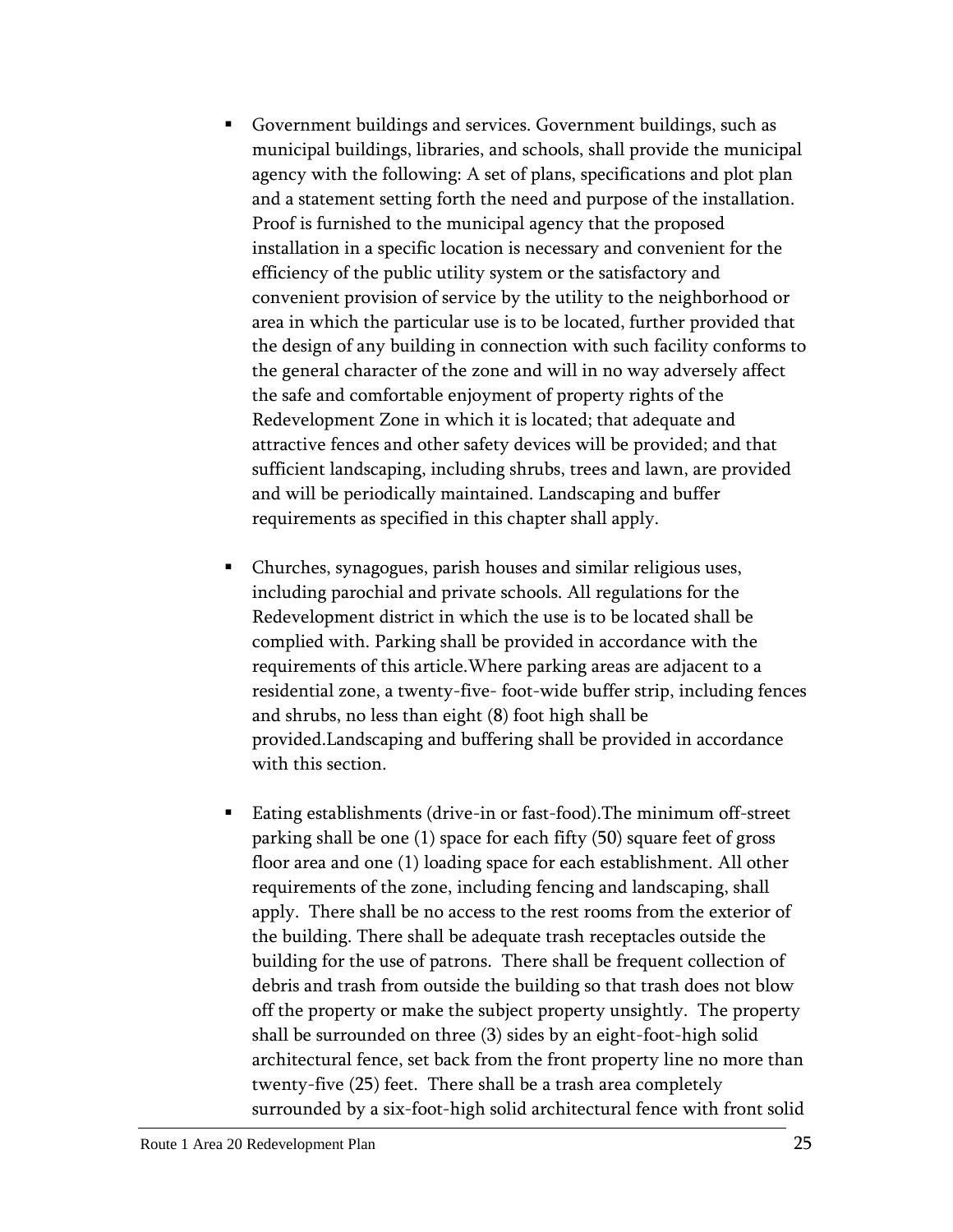- Government buildings and services. Government buildings, such as municipal buildings, libraries, and schools, shall provide the municipal agency with the following: A set of plans, specifications and plot plan and a statement setting forth the need and purpose of the installation. Proof is furnished to the municipal agency that the proposed installation in a specific location is necessary and convenient for the efficiency of the public utility system or the satisfactory and convenient provision of service by the utility to the neighborhood or area in which the particular use is to be located, further provided that the design of any building in connection with such facility conforms to the general character of the zone and will in no way adversely affect the safe and comfortable enjoyment of property rights of the Redevelopment Zone in which it is located; that adequate and attractive fences and other safety devices will be provided; and that sufficient landscaping, including shrubs, trees and lawn, are provided and will be periodically maintained. Landscaping and buffer requirements as specified in this chapter shall apply.
- Churches, synagogues, parish houses and similar religious uses, including parochial and private schools. All regulations for the Redevelopment district in which the use is to be located shall be complied with. Parking shall be provided in accordance with the requirements of this article.Where parking areas are adjacent to a residential zone, a twenty-five- foot-wide buffer strip, including fences and shrubs, no less than eight (8) foot high shall be provided.Landscaping and buffering shall be provided in accordance with this section.
- Eating establishments (drive-in or fast-food).The minimum off-street parking shall be one (1) space for each fifty (50) square feet of gross floor area and one (1) loading space for each establishment. All other requirements of the zone, including fencing and landscaping, shall apply. There shall be no access to the rest rooms from the exterior of the building. There shall be adequate trash receptacles outside the building for the use of patrons. There shall be frequent collection of debris and trash from outside the building so that trash does not blow off the property or make the subject property unsightly. The property shall be surrounded on three (3) sides by an eight-foot-high solid architectural fence, set back from the front property line no more than twenty-five (25) feet. There shall be a trash area completely surrounded by a six-foot-high solid architectural fence with front solid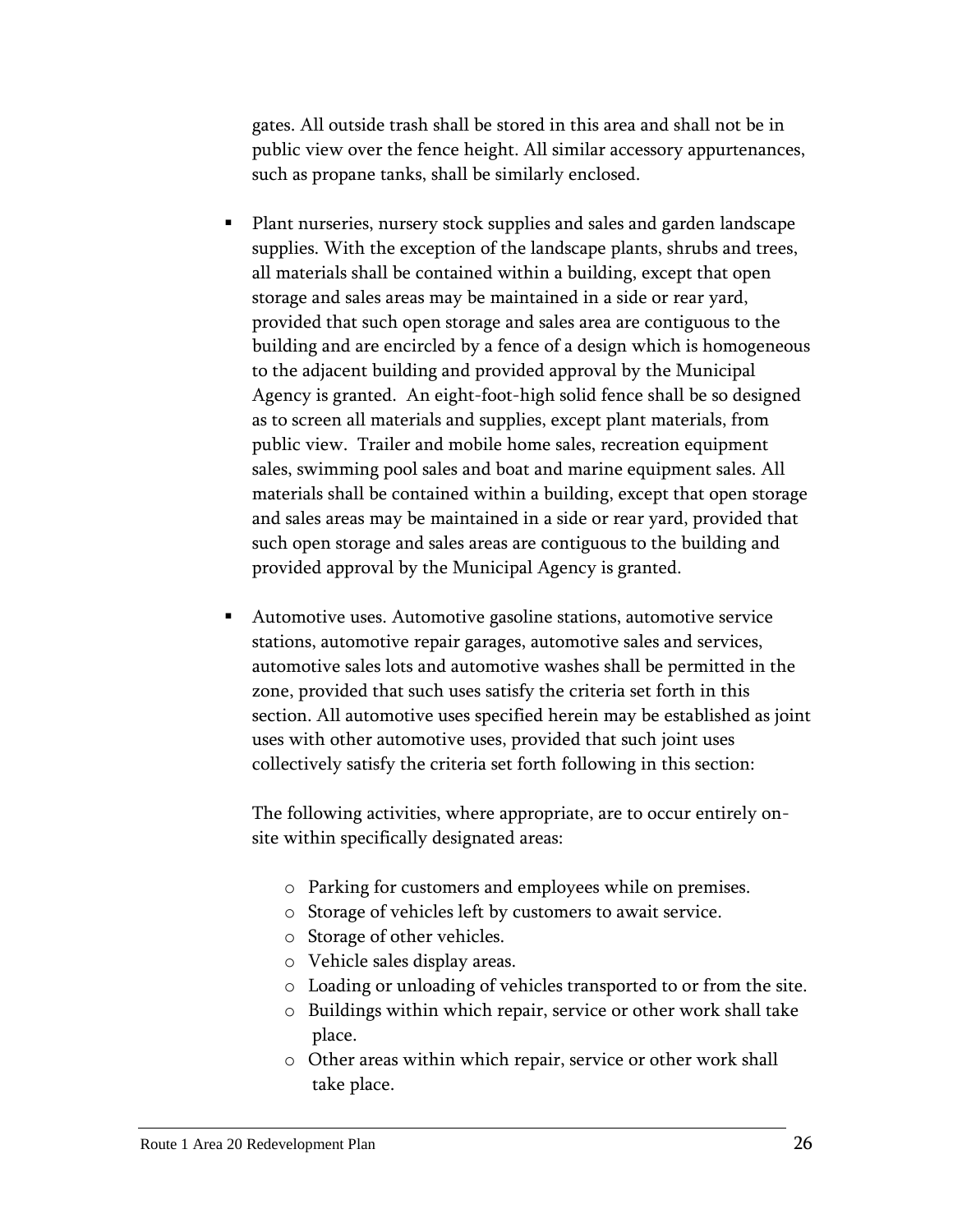gates. All outside trash shall be stored in this area and shall not be in public view over the fence height. All similar accessory appurtenances, such as propane tanks, shall be similarly enclosed.

- Plant nurseries, nursery stock supplies and sales and garden landscape supplies. With the exception of the landscape plants, shrubs and trees, all materials shall be contained within a building, except that open storage and sales areas may be maintained in a side or rear yard, provided that such open storage and sales area are contiguous to the building and are encircled by a fence of a design which is homogeneous to the adjacent building and provided approval by the Municipal Agency is granted. An eight-foot-high solid fence shall be so designed as to screen all materials and supplies, except plant materials, from public view. Trailer and mobile home sales, recreation equipment sales, swimming pool sales and boat and marine equipment sales. All materials shall be contained within a building, except that open storage and sales areas may be maintained in a side or rear yard, provided that such open storage and sales areas are contiguous to the building and provided approval by the Municipal Agency is granted.
- Automotive uses. Automotive gasoline stations, automotive service stations, automotive repair garages, automotive sales and services, automotive sales lots and automotive washes shall be permitted in the zone, provided that such uses satisfy the criteria set forth in this section. All automotive uses specified herein may be established as joint uses with other automotive uses, provided that such joint uses collectively satisfy the criteria set forth following in this section:

The following activities, where appropriate, are to occur entirely onsite within specifically designated areas:

- o Parking for customers and employees while on premises.
- o Storage of vehicles left by customers to await service.
- o Storage of other vehicles.
- o Vehicle sales display areas.
- o Loading or unloading of vehicles transported to or from the site.
- o Buildings within which repair, service or other work shall take place.
- o Other areas within which repair, service or other work shall take place.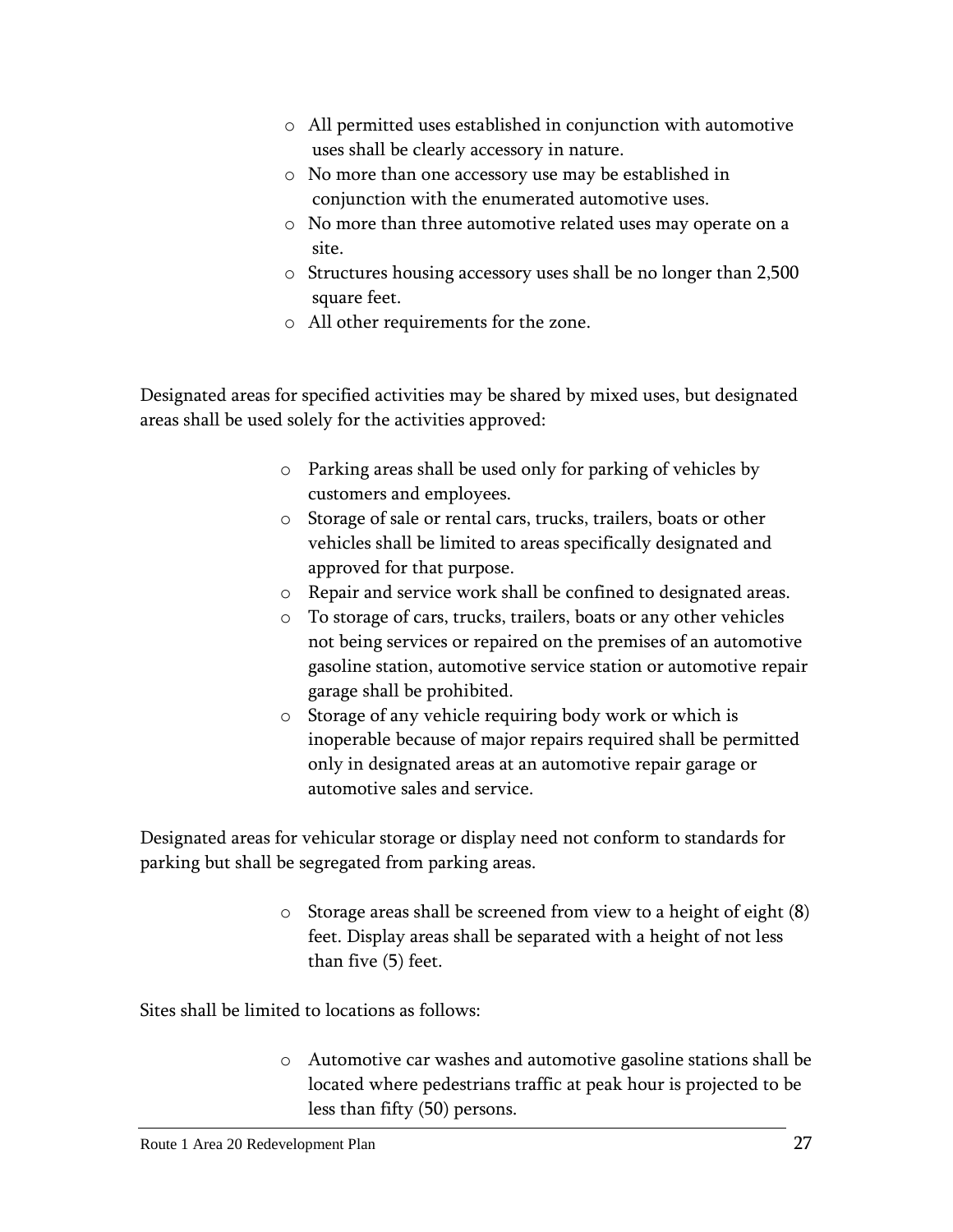- o All permitted uses established in conjunction with automotive uses shall be clearly accessory in nature.
- o No more than one accessory use may be established in conjunction with the enumerated automotive uses.
- o No more than three automotive related uses may operate on a site.
- o Structures housing accessory uses shall be no longer than 2,500 square feet.
- o All other requirements for the zone.

Designated areas for specified activities may be shared by mixed uses, but designated areas shall be used solely for the activities approved:

- o Parking areas shall be used only for parking of vehicles by customers and employees.
- o Storage of sale or rental cars, trucks, trailers, boats or other vehicles shall be limited to areas specifically designated and approved for that purpose.
- o Repair and service work shall be confined to designated areas.
- o To storage of cars, trucks, trailers, boats or any other vehicles not being services or repaired on the premises of an automotive gasoline station, automotive service station or automotive repair garage shall be prohibited.
- o Storage of any vehicle requiring body work or which is inoperable because of major repairs required shall be permitted only in designated areas at an automotive repair garage or automotive sales and service.

Designated areas for vehicular storage or display need not conform to standards for parking but shall be segregated from parking areas.

> o Storage areas shall be screened from view to a height of eight (8) feet. Display areas shall be separated with a height of not less than five (5) feet.

Sites shall be limited to locations as follows:

o Automotive car washes and automotive gasoline stations shall be located where pedestrians traffic at peak hour is projected to be less than fifty (50) persons.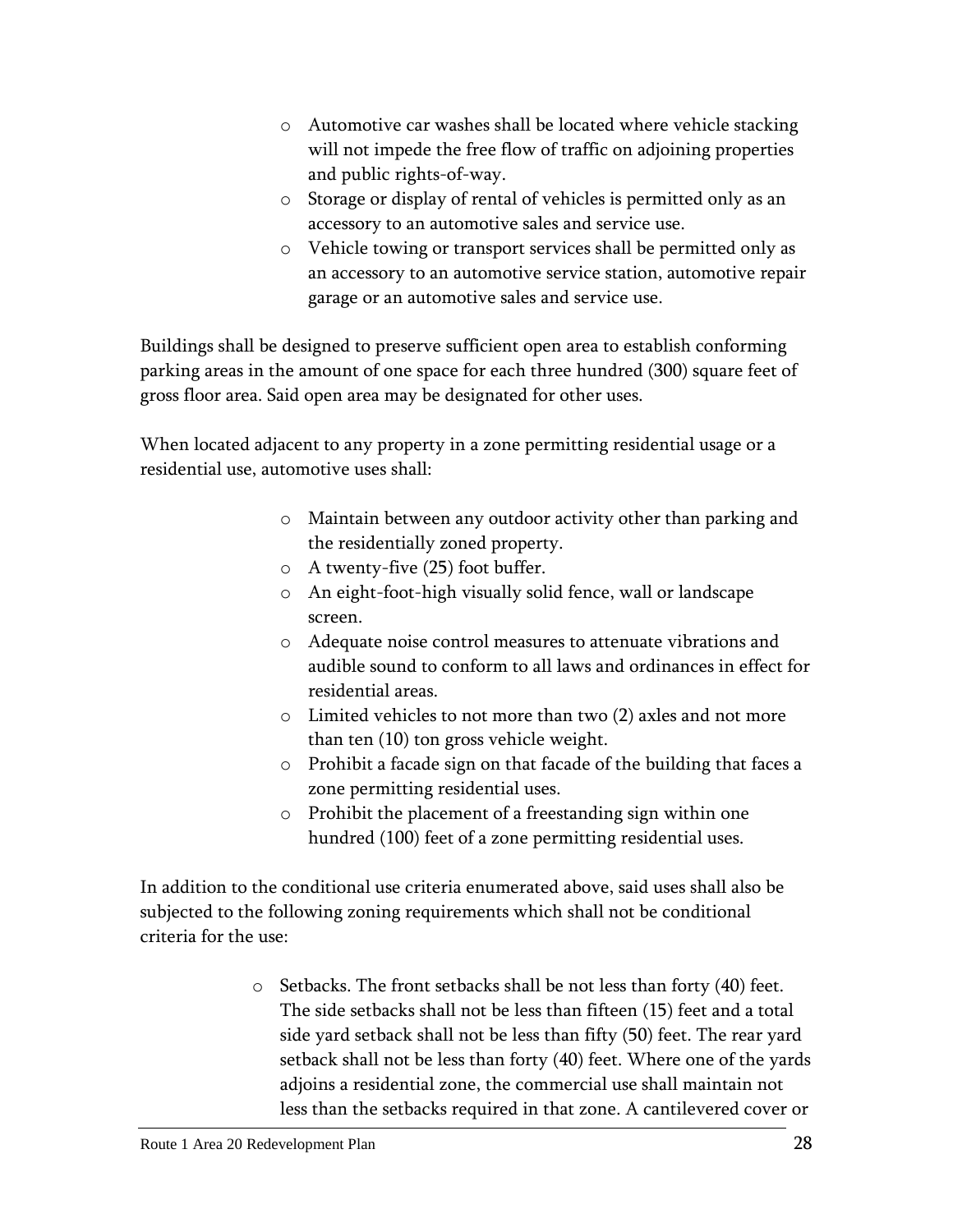- o Automotive car washes shall be located where vehicle stacking will not impede the free flow of traffic on adjoining properties and public rights-of-way.
- o Storage or display of rental of vehicles is permitted only as an accessory to an automotive sales and service use.
- o Vehicle towing or transport services shall be permitted only as an accessory to an automotive service station, automotive repair garage or an automotive sales and service use.

Buildings shall be designed to preserve sufficient open area to establish conforming parking areas in the amount of one space for each three hundred (300) square feet of gross floor area. Said open area may be designated for other uses.

When located adjacent to any property in a zone permitting residential usage or a residential use, automotive uses shall:

- o Maintain between any outdoor activity other than parking and the residentially zoned property.
- o A twenty-five (25) foot buffer.
- o An eight-foot-high visually solid fence, wall or landscape screen.
- o Adequate noise control measures to attenuate vibrations and audible sound to conform to all laws and ordinances in effect for residential areas.
- o Limited vehicles to not more than two (2) axles and not more than ten (10) ton gross vehicle weight.
- o Prohibit a facade sign on that facade of the building that faces a zone permitting residential uses.
- o Prohibit the placement of a freestanding sign within one hundred (100) feet of a zone permitting residential uses.

In addition to the conditional use criteria enumerated above, said uses shall also be subjected to the following zoning requirements which shall not be conditional criteria for the use:

> o Setbacks. The front setbacks shall be not less than forty (40) feet. The side setbacks shall not be less than fifteen (15) feet and a total side yard setback shall not be less than fifty (50) feet. The rear yard setback shall not be less than forty (40) feet. Where one of the yards adjoins a residential zone, the commercial use shall maintain not less than the setbacks required in that zone. A cantilevered cover or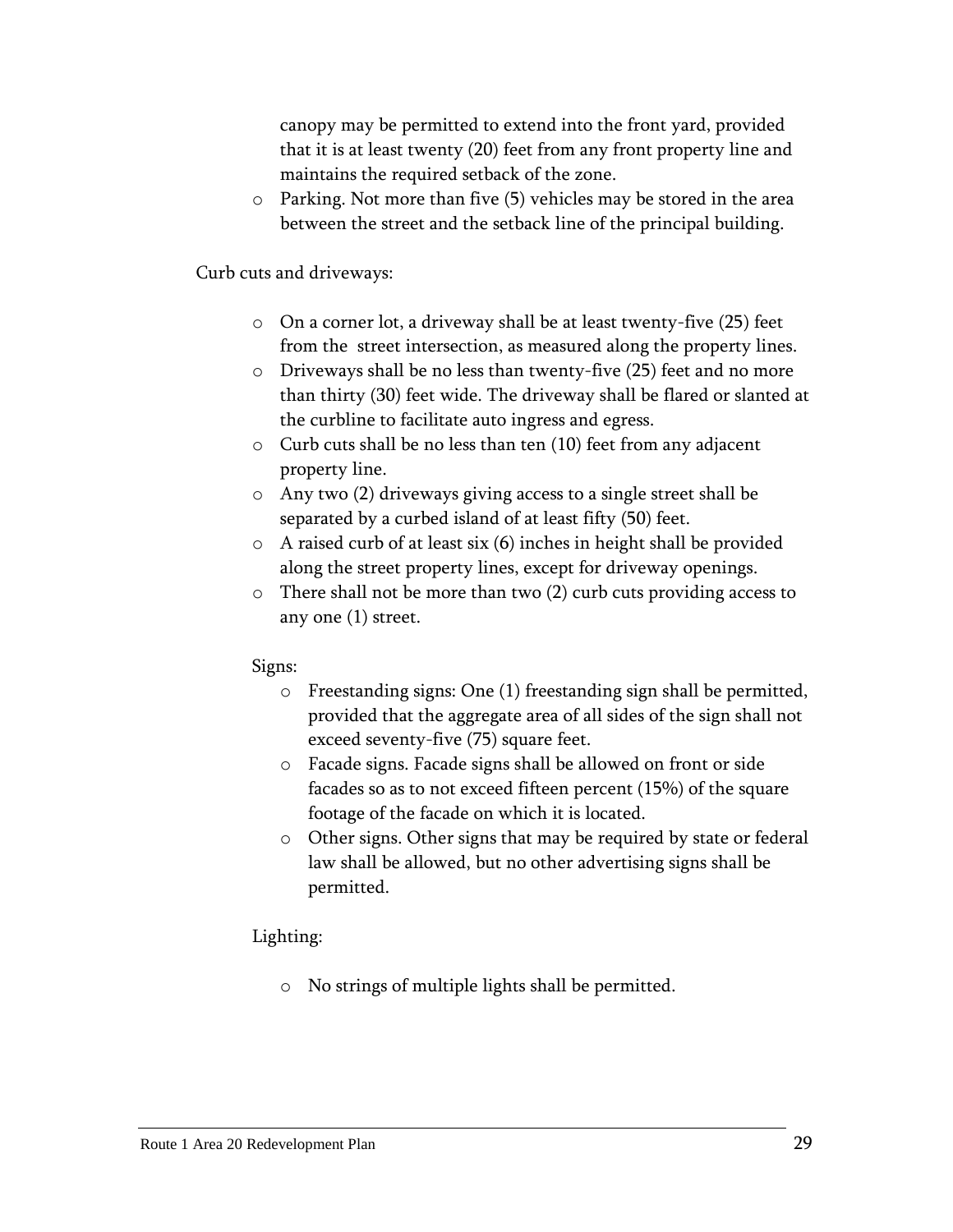canopy may be permitted to extend into the front yard, provided that it is at least twenty (20) feet from any front property line and maintains the required setback of the zone.

o Parking. Not more than five (5) vehicles may be stored in the area between the street and the setback line of the principal building.

Curb cuts and driveways:

- o On a corner lot, a driveway shall be at least twenty-five (25) feet from the street intersection, as measured along the property lines.
- o Driveways shall be no less than twenty-five (25) feet and no more than thirty (30) feet wide. The driveway shall be flared or slanted at the curbline to facilitate auto ingress and egress.
- o Curb cuts shall be no less than ten (10) feet from any adjacent property line.
- o Any two (2) driveways giving access to a single street shall be separated by a curbed island of at least fifty (50) feet.
- o A raised curb of at least six (6) inches in height shall be provided along the street property lines, except for driveway openings.
- o There shall not be more than two (2) curb cuts providing access to any one (1) street.

#### Signs:

- o Freestanding signs: One (1) freestanding sign shall be permitted, provided that the aggregate area of all sides of the sign shall not exceed seventy-five (75) square feet.
- o Facade signs. Facade signs shall be allowed on front or side facades so as to not exceed fifteen percent (15%) of the square footage of the facade on which it is located.
- o Other signs. Other signs that may be required by state or federal law shall be allowed, but no other advertising signs shall be permitted.

#### Lighting:

o No strings of multiple lights shall be permitted.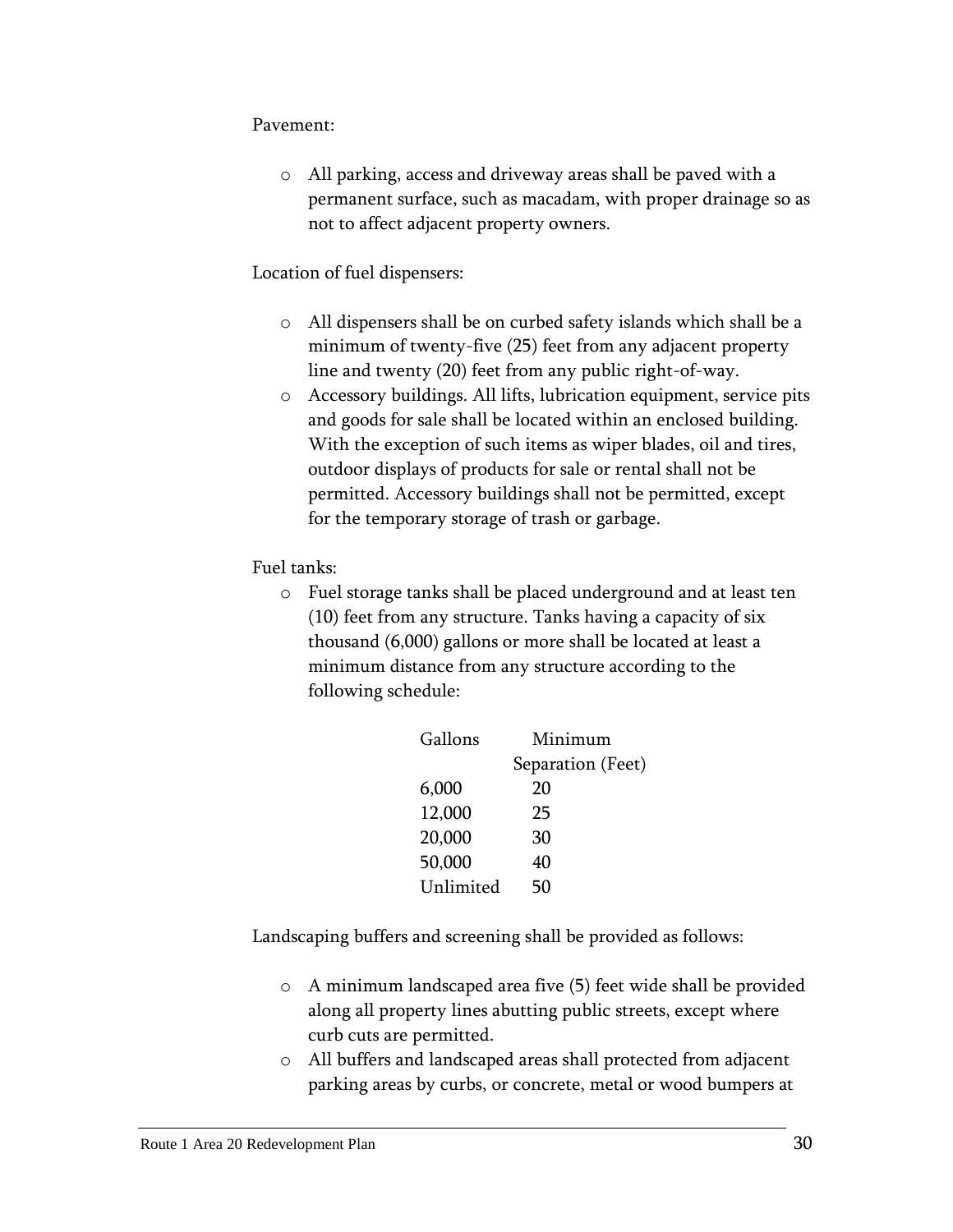#### Pavement:

o All parking, access and driveway areas shall be paved with a permanent surface, such as macadam, with proper drainage so as not to affect adjacent property owners.

#### Location of fuel dispensers:

- o All dispensers shall be on curbed safety islands which shall be a minimum of twenty-five (25) feet from any adjacent property line and twenty (20) feet from any public right-of-way.
- o Accessory buildings. All lifts, lubrication equipment, service pits and goods for sale shall be located within an enclosed building. With the exception of such items as wiper blades, oil and tires, outdoor displays of products for sale or rental shall not be permitted. Accessory buildings shall not be permitted, except for the temporary storage of trash or garbage.

Fuel tanks:

o Fuel storage tanks shall be placed underground and at least ten (10) feet from any structure. Tanks having a capacity of six thousand (6,000) gallons or more shall be located at least a minimum distance from any structure according to the following schedule:

| Gallons   | Minimum           |  |
|-----------|-------------------|--|
|           | Separation (Feet) |  |
| 6,000     | 20                |  |
| 12,000    | 25                |  |
| 20,000    | 30                |  |
| 50,000    | 40                |  |
| Unlimited | 50                |  |
|           |                   |  |

Landscaping buffers and screening shall be provided as follows:

- o A minimum landscaped area five (5) feet wide shall be provided along all property lines abutting public streets, except where curb cuts are permitted.
- o All buffers and landscaped areas shall protected from adjacent parking areas by curbs, or concrete, metal or wood bumpers at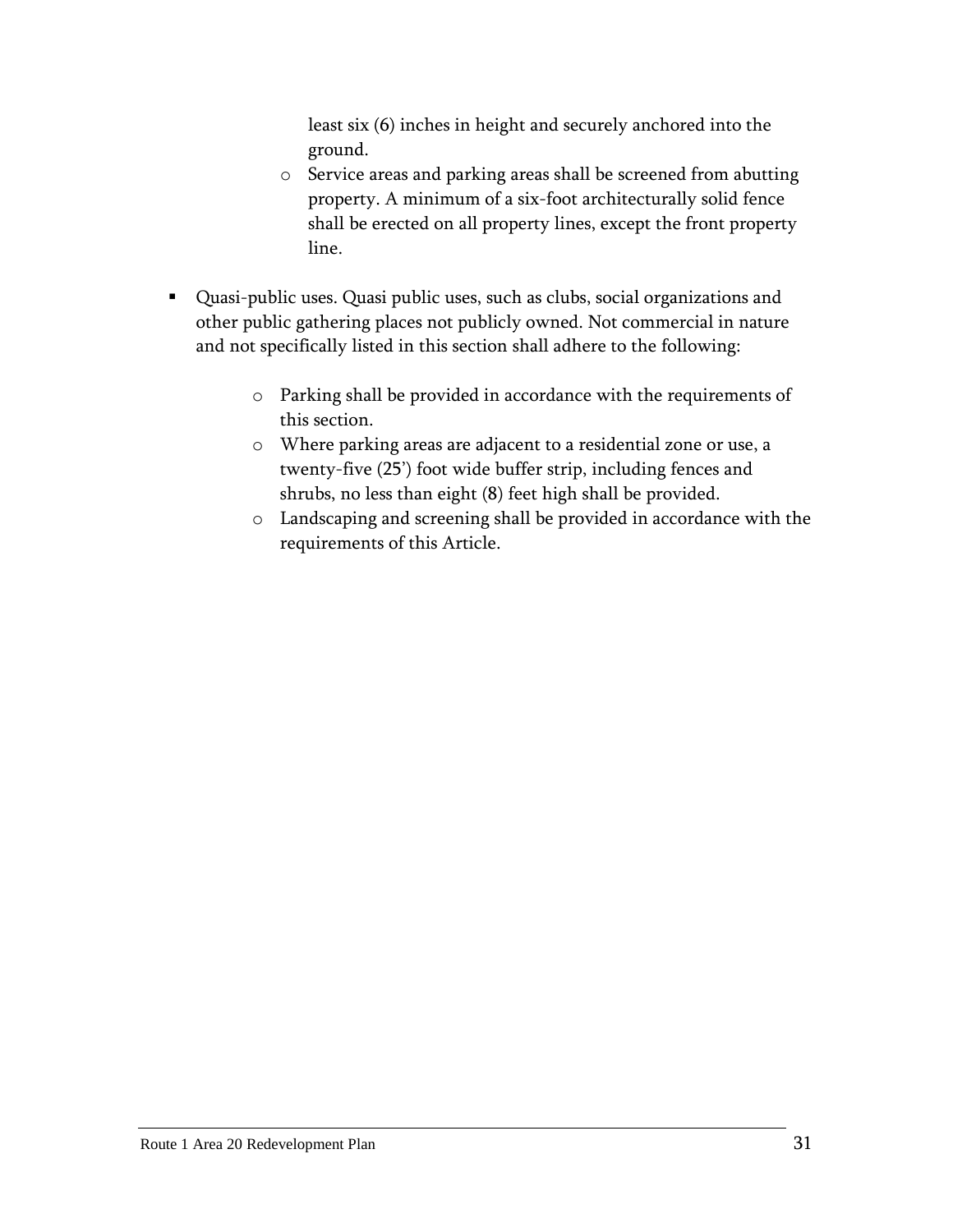least six (6) inches in height and securely anchored into the ground.

- o Service areas and parking areas shall be screened from abutting property. A minimum of a six-foot architecturally solid fence shall be erected on all property lines, except the front property line.
- Quasi-public uses. Quasi public uses, such as clubs, social organizations and other public gathering places not publicly owned. Not commercial in nature and not specifically listed in this section shall adhere to the following:
	- o Parking shall be provided in accordance with the requirements of this section.
	- o Where parking areas are adjacent to a residential zone or use, a twenty-five (25') foot wide buffer strip, including fences and shrubs, no less than eight (8) feet high shall be provided.
	- o Landscaping and screening shall be provided in accordance with the requirements of this Article.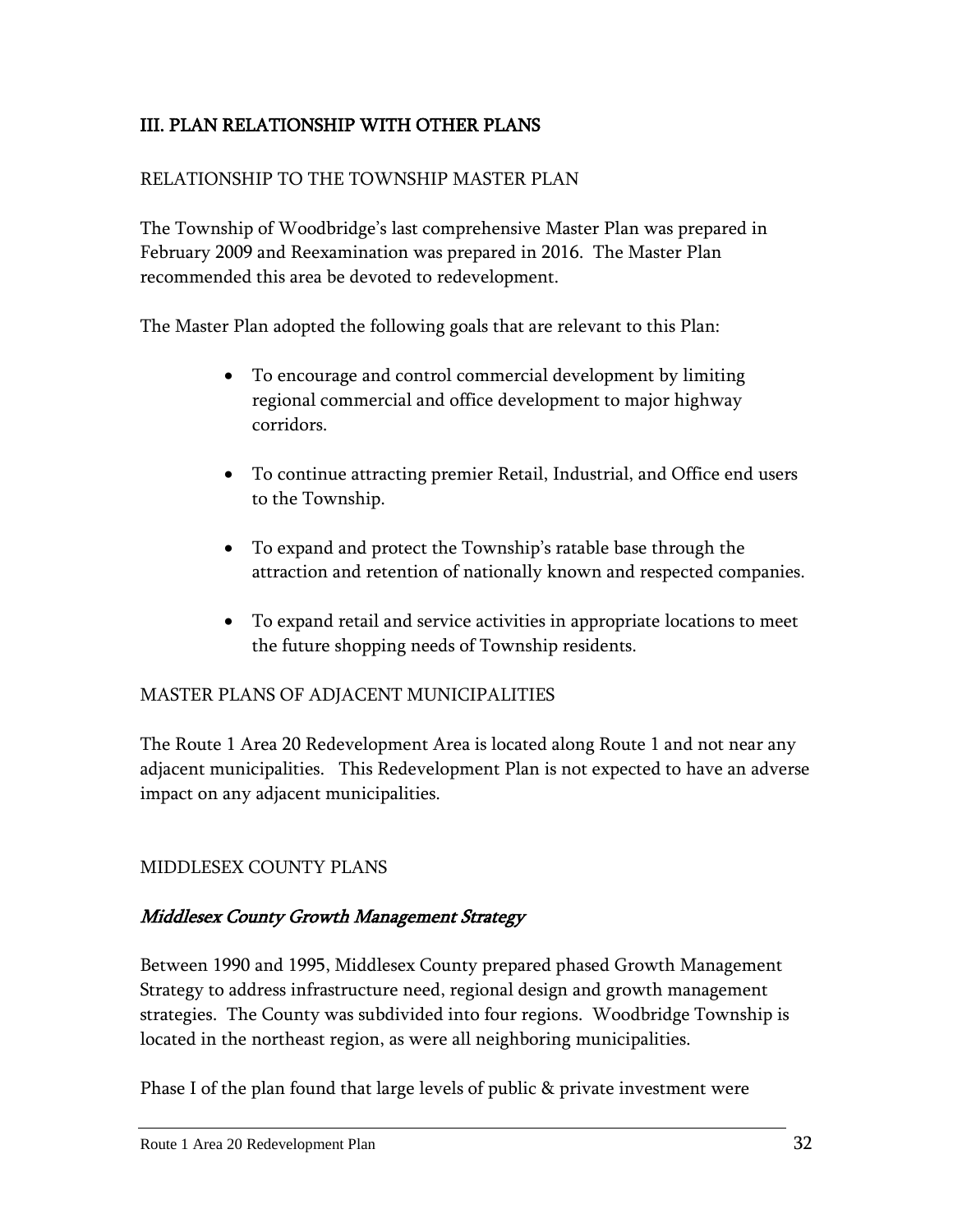## <span id="page-34-0"></span>III. PLAN RELATIONSHIP WITH OTHER PLANS

#### RELATIONSHIP TO THE TOWNSHIP MASTER PLAN

The Township of Woodbridge's last comprehensive Master Plan was prepared in February 2009 and Reexamination was prepared in 2016. The Master Plan recommended this area be devoted to redevelopment.

The Master Plan adopted the following goals that are relevant to this Plan:

- To encourage and control commercial development by limiting regional commercial and office development to major highway corridors.
- To continue attracting premier Retail, Industrial, and Office end users to the Township.
- To expand and protect the Township's ratable base through the attraction and retention of nationally known and respected companies.
- To expand retail and service activities in appropriate locations to meet the future shopping needs of Township residents.

#### MASTER PLANS OF ADJACENT MUNICIPALITIES

The Route 1 Area 20 Redevelopment Area is located along Route 1 and not near any adjacent municipalities. This Redevelopment Plan is not expected to have an adverse impact on any adjacent municipalities.

#### MIDDLESEX COUNTY PLANS

#### Middlesex County Growth Management Strategy

Between 1990 and 1995, Middlesex County prepared phased Growth Management Strategy to address infrastructure need, regional design and growth management strategies. The County was subdivided into four regions. Woodbridge Township is located in the northeast region, as were all neighboring municipalities.

Phase I of the plan found that large levels of public & private investment were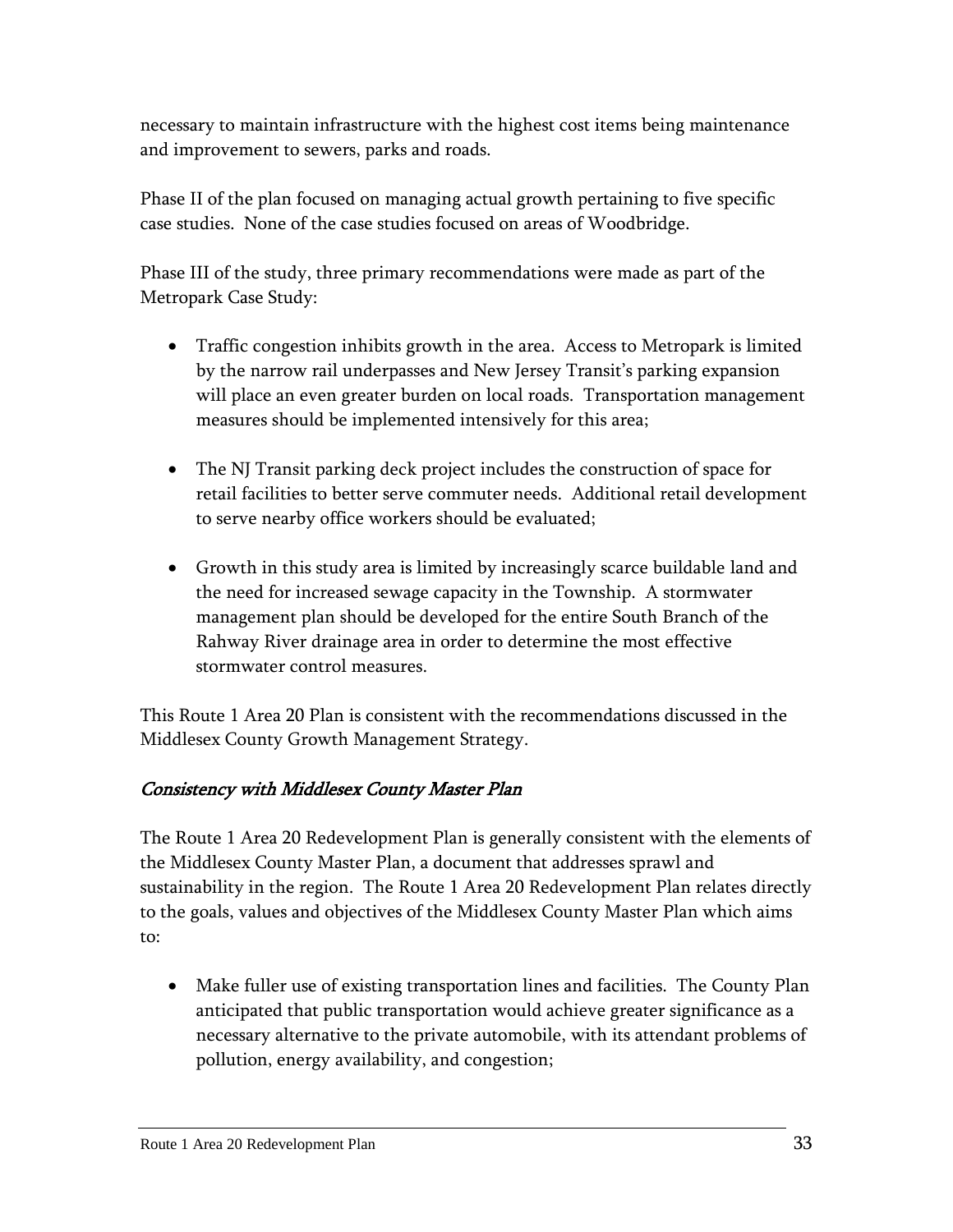necessary to maintain infrastructure with the highest cost items being maintenance and improvement to sewers, parks and roads.

Phase II of the plan focused on managing actual growth pertaining to five specific case studies. None of the case studies focused on areas of Woodbridge.

Phase III of the study, three primary recommendations were made as part of the Metropark Case Study:

- Traffic congestion inhibits growth in the area. Access to Metropark is limited by the narrow rail underpasses and New Jersey Transit's parking expansion will place an even greater burden on local roads. Transportation management measures should be implemented intensively for this area;
- The NJ Transit parking deck project includes the construction of space for retail facilities to better serve commuter needs. Additional retail development to serve nearby office workers should be evaluated;
- Growth in this study area is limited by increasingly scarce buildable land and the need for increased sewage capacity in the Township. A stormwater management plan should be developed for the entire South Branch of the Rahway River drainage area in order to determine the most effective stormwater control measures.

This Route 1 Area 20 Plan is consistent with the recommendations discussed in the Middlesex County Growth Management Strategy.

## Consistency with Middlesex County Master Plan

The Route 1 Area 20 Redevelopment Plan is generally consistent with the elements of the Middlesex County Master Plan, a document that addresses sprawl and sustainability in the region. The Route 1 Area 20 Redevelopment Plan relates directly to the goals, values and objectives of the Middlesex County Master Plan which aims to:

 Make fuller use of existing transportation lines and facilities. The County Plan anticipated that public transportation would achieve greater significance as a necessary alternative to the private automobile, with its attendant problems of pollution, energy availability, and congestion;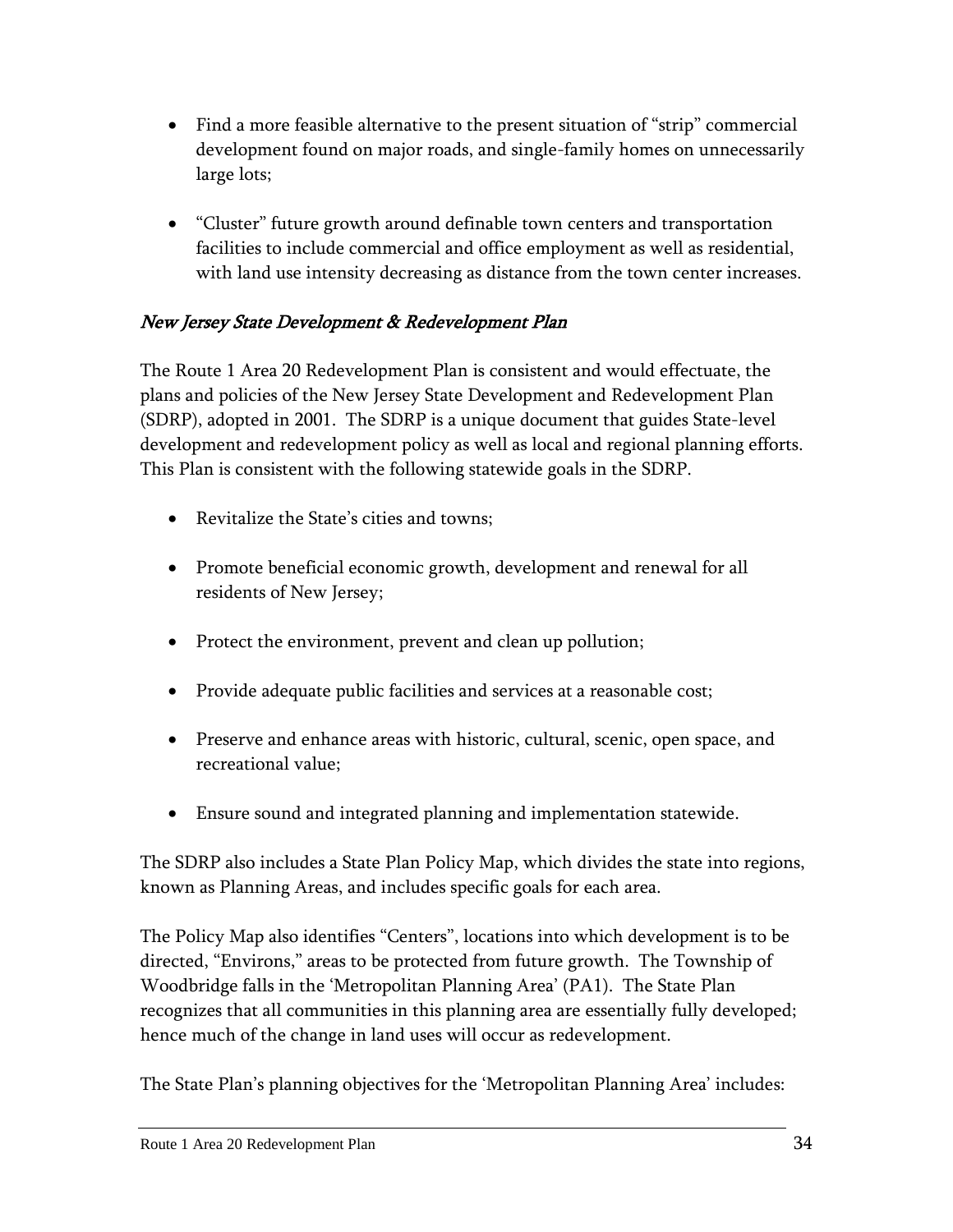- Find a more feasible alternative to the present situation of "strip" commercial development found on major roads, and single-family homes on unnecessarily large lots;
- "Cluster" future growth around definable town centers and transportation facilities to include commercial and office employment as well as residential, with land use intensity decreasing as distance from the town center increases.

## New Jersey State Development & Redevelopment Plan

The Route 1 Area 20 Redevelopment Plan is consistent and would effectuate, the plans and policies of the New Jersey State Development and Redevelopment Plan (SDRP), adopted in 2001. The SDRP is a unique document that guides State-level development and redevelopment policy as well as local and regional planning efforts. This Plan is consistent with the following statewide goals in the SDRP.

- Revitalize the State's cities and towns;
- Promote beneficial economic growth, development and renewal for all residents of New Jersey;
- Protect the environment, prevent and clean up pollution;
- Provide adequate public facilities and services at a reasonable cost;
- Preserve and enhance areas with historic, cultural, scenic, open space, and recreational value;
- Ensure sound and integrated planning and implementation statewide.

The SDRP also includes a State Plan Policy Map, which divides the state into regions, known as Planning Areas, and includes specific goals for each area.

The Policy Map also identifies "Centers", locations into which development is to be directed, "Environs," areas to be protected from future growth. The Township of Woodbridge falls in the 'Metropolitan Planning Area' (PA1). The State Plan recognizes that all communities in this planning area are essentially fully developed; hence much of the change in land uses will occur as redevelopment.

The State Plan's planning objectives for the 'Metropolitan Planning Area' includes: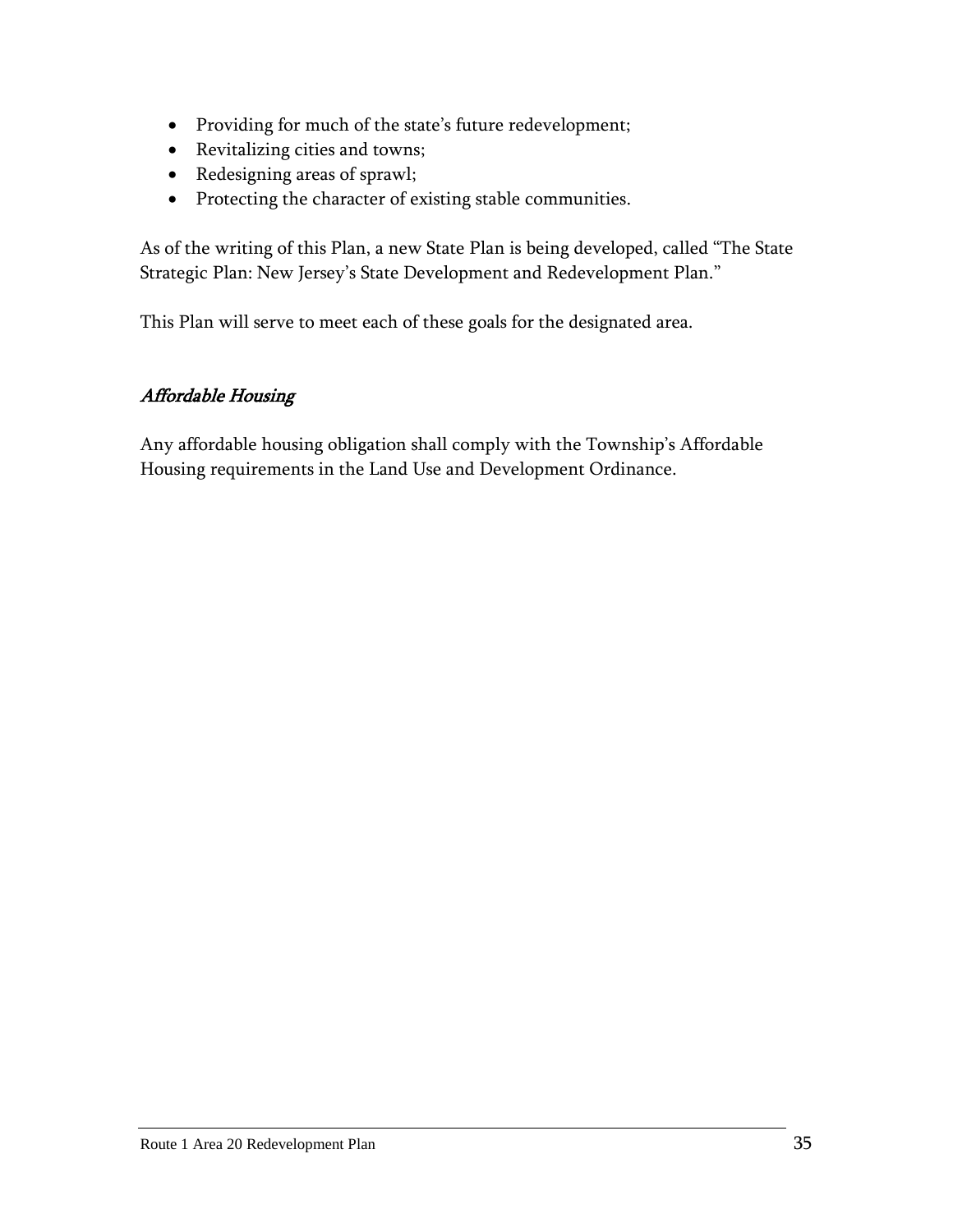- Providing for much of the state's future redevelopment;
- Revitalizing cities and towns;
- Redesigning areas of sprawl;
- Protecting the character of existing stable communities.

As of the writing of this Plan, a new State Plan is being developed, called "The State Strategic Plan: New Jersey's State Development and Redevelopment Plan."

This Plan will serve to meet each of these goals for the designated area.

## Affordable Housing

Any affordable housing obligation shall comply with the Township's Affordable Housing requirements in the Land Use and Development Ordinance.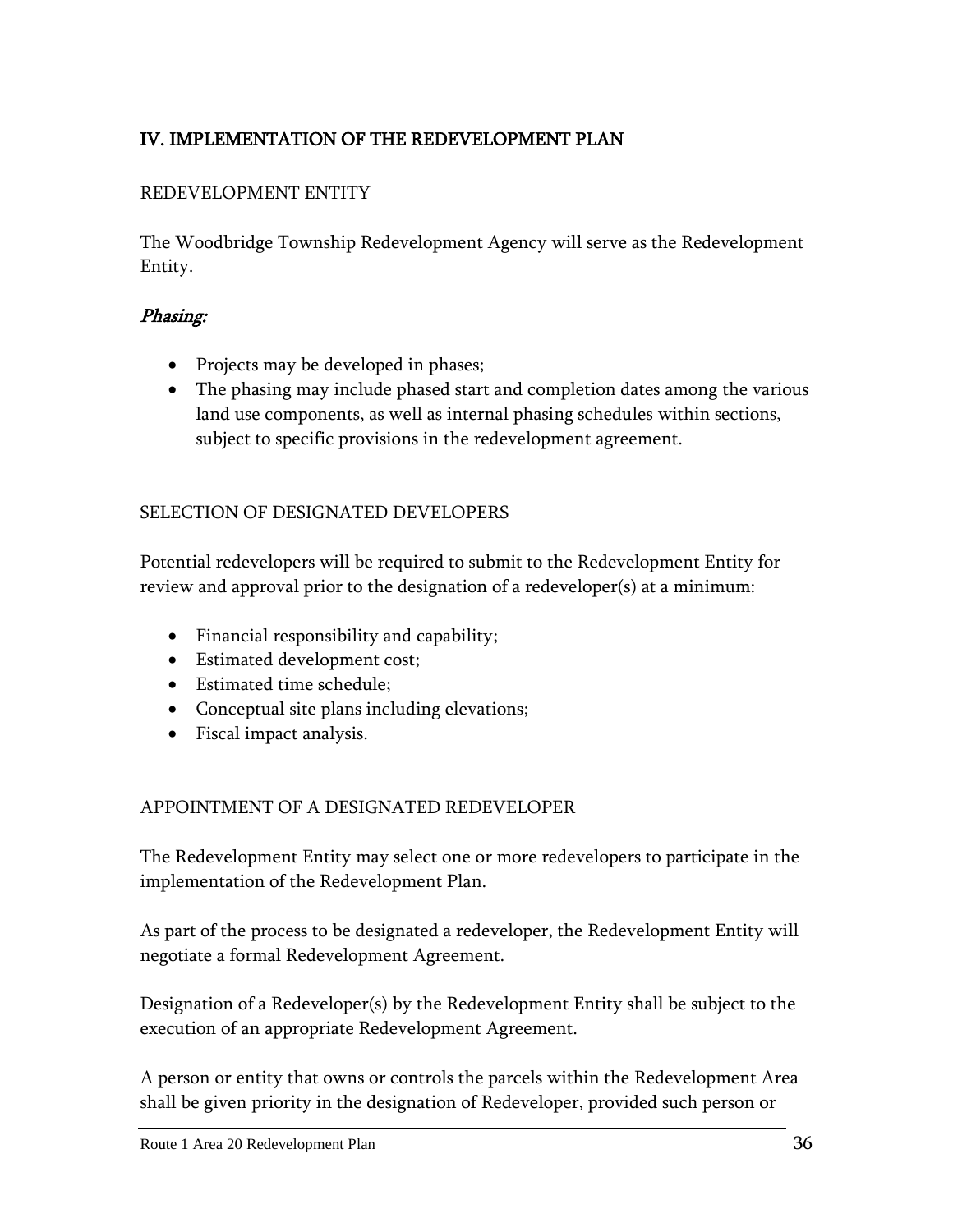## <span id="page-38-0"></span>IV. IMPLEMENTATION OF THE REDEVELOPMENT PLAN

## REDEVELOPMENT ENTITY

The Woodbridge Township Redevelopment Agency will serve as the Redevelopment Entity.

#### Phasing:

- Projects may be developed in phases;
- The phasing may include phased start and completion dates among the various land use components, as well as internal phasing schedules within sections, subject to specific provisions in the redevelopment agreement.

#### SELECTION OF DESIGNATED DEVELOPERS

Potential redevelopers will be required to submit to the Redevelopment Entity for review and approval prior to the designation of a redeveloper(s) at a minimum:

- Financial responsibility and capability;
- Estimated development cost;
- Estimated time schedule;
- Conceptual site plans including elevations;
- Fiscal impact analysis.

#### APPOINTMENT OF A DESIGNATED REDEVELOPER

The Redevelopment Entity may select one or more redevelopers to participate in the implementation of the Redevelopment Plan.

As part of the process to be designated a redeveloper, the Redevelopment Entity will negotiate a formal Redevelopment Agreement.

Designation of a Redeveloper(s) by the Redevelopment Entity shall be subject to the execution of an appropriate Redevelopment Agreement.

A person or entity that owns or controls the parcels within the Redevelopment Area shall be given priority in the designation of Redeveloper, provided such person or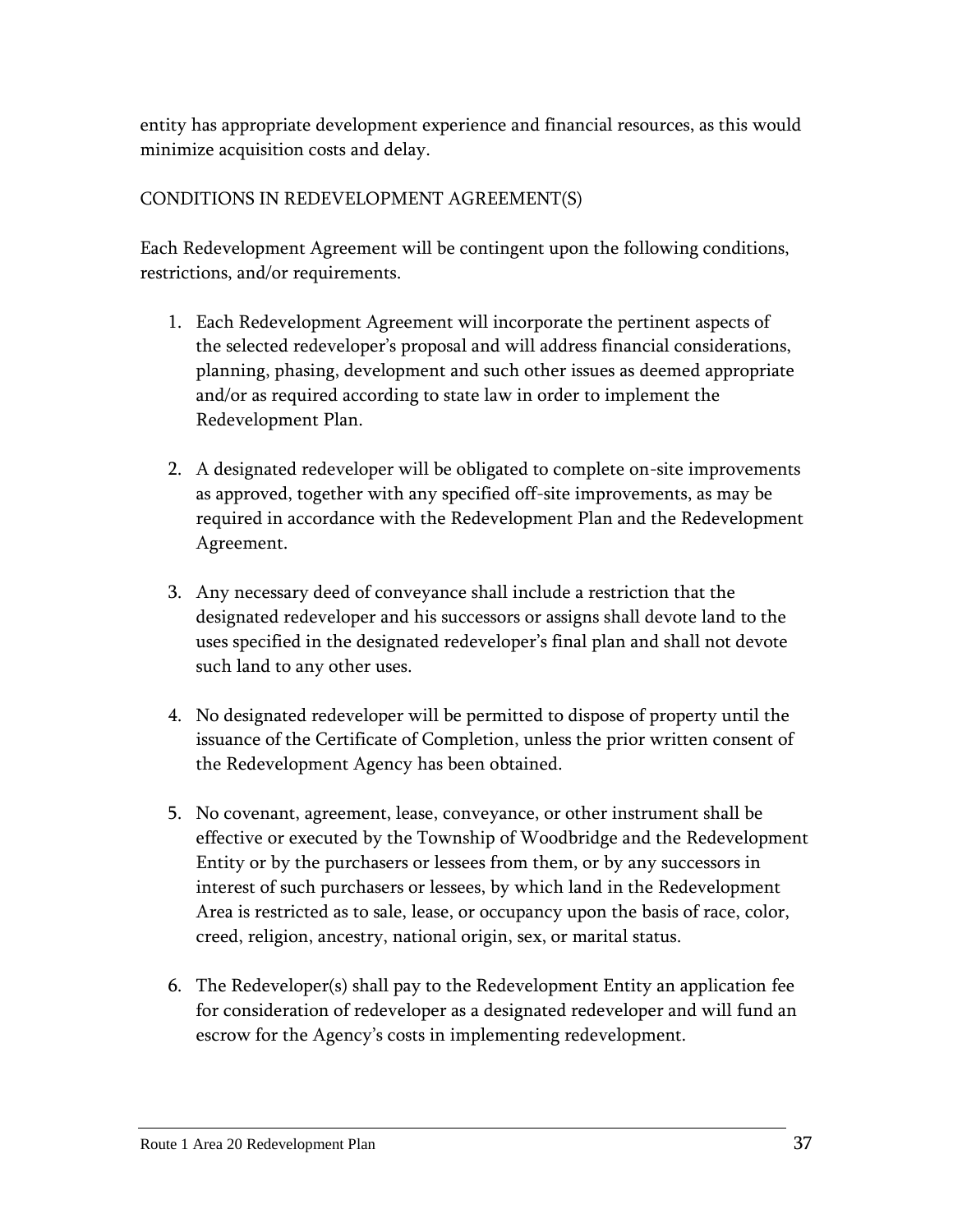entity has appropriate development experience and financial resources, as this would minimize acquisition costs and delay.

## CONDITIONS IN REDEVELOPMENT AGREEMENT(S)

Each Redevelopment Agreement will be contingent upon the following conditions, restrictions, and/or requirements.

- 1. Each Redevelopment Agreement will incorporate the pertinent aspects of the selected redeveloper's proposal and will address financial considerations, planning, phasing, development and such other issues as deemed appropriate and/or as required according to state law in order to implement the Redevelopment Plan.
- 2. A designated redeveloper will be obligated to complete on-site improvements as approved, together with any specified off-site improvements, as may be required in accordance with the Redevelopment Plan and the Redevelopment Agreement.
- 3. Any necessary deed of conveyance shall include a restriction that the designated redeveloper and his successors or assigns shall devote land to the uses specified in the designated redeveloper's final plan and shall not devote such land to any other uses.
- 4. No designated redeveloper will be permitted to dispose of property until the issuance of the Certificate of Completion, unless the prior written consent of the Redevelopment Agency has been obtained.
- 5. No covenant, agreement, lease, conveyance, or other instrument shall be effective or executed by the Township of Woodbridge and the Redevelopment Entity or by the purchasers or lessees from them, or by any successors in interest of such purchasers or lessees, by which land in the Redevelopment Area is restricted as to sale, lease, or occupancy upon the basis of race, color, creed, religion, ancestry, national origin, sex, or marital status.
- 6. The Redeveloper(s) shall pay to the Redevelopment Entity an application fee for consideration of redeveloper as a designated redeveloper and will fund an escrow for the Agency's costs in implementing redevelopment.